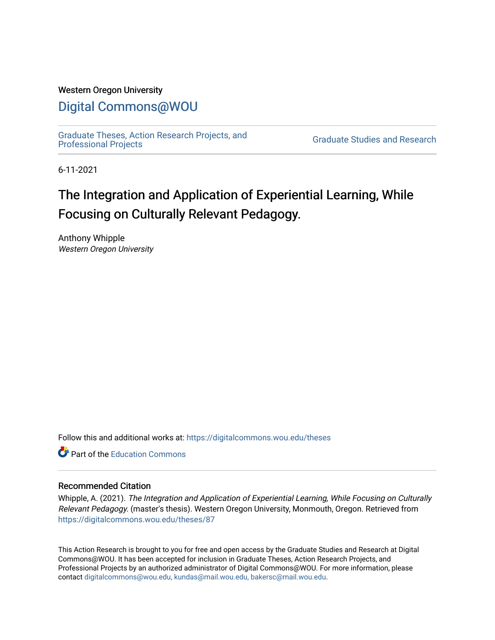### Western Oregon University

# [Digital Commons@WOU](https://digitalcommons.wou.edu/)

[Graduate Theses, Action Research Projects, and](https://digitalcommons.wou.edu/theses) 

**Graduate Studies and Research** 

6-11-2021

# The Integration and Application of Experiential Learning, While Focusing on Culturally Relevant Pedagogy.

Anthony Whipple Western Oregon University

Follow this and additional works at: [https://digitalcommons.wou.edu/theses](https://digitalcommons.wou.edu/theses?utm_source=digitalcommons.wou.edu%2Ftheses%2F87&utm_medium=PDF&utm_campaign=PDFCoverPages) 

**C** Part of the [Education Commons](https://network.bepress.com/hgg/discipline/784?utm_source=digitalcommons.wou.edu%2Ftheses%2F87&utm_medium=PDF&utm_campaign=PDFCoverPages)

### Recommended Citation

Whipple, A. (2021). The Integration and Application of Experiential Learning, While Focusing on Culturally Relevant Pedagogy. (master's thesis). Western Oregon University, Monmouth, Oregon. Retrieved from [https://digitalcommons.wou.edu/theses/87](https://digitalcommons.wou.edu/theses/87?utm_source=digitalcommons.wou.edu%2Ftheses%2F87&utm_medium=PDF&utm_campaign=PDFCoverPages) 

This Action Research is brought to you for free and open access by the Graduate Studies and Research at Digital Commons@WOU. It has been accepted for inclusion in Graduate Theses, Action Research Projects, and Professional Projects by an authorized administrator of Digital Commons@WOU. For more information, please contact [digitalcommons@wou.edu, kundas@mail.wou.edu, bakersc@mail.wou.edu](mailto:digitalcommons@wou.edu,%20kundas@mail.wou.edu,%20bakersc@mail.wou.edu).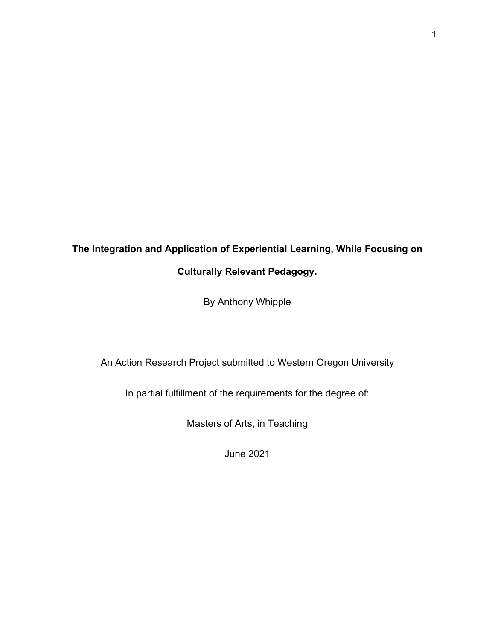# **The Integration and Application of Experiential Learning, While Focusing on Culturally Relevant Pedagogy.**

By Anthony Whipple

An Action Research Project submitted to Western Oregon University

In partial fulfillment of the requirements for the degree of:

Masters of Arts, in Teaching

June 2021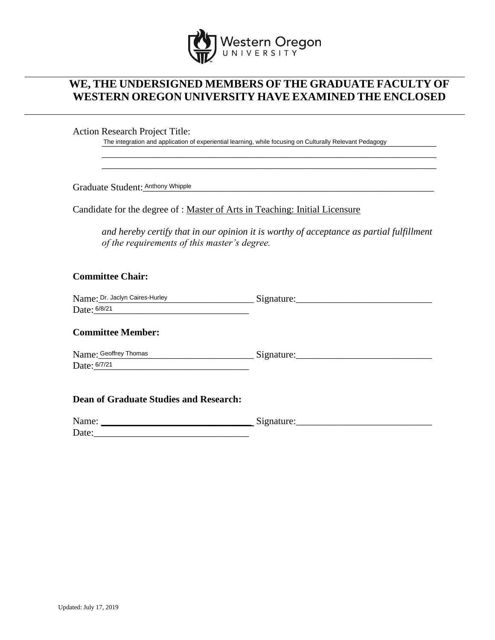

# **WE, THE UNDERSIGNED MEMBERS OF THE GRADUATE FACULTY OF WESTERN OREGON UNIVERSITY HAVE EXAMINED THE ENCLOSED**

Action Research Project Title:

The integration and application of experiential learning, while focusing on Culturally Relevant Pedagogy Anthony Whipple Student: Anthony Whipple

Graduate Student: Anthony Whipple

Candidate for the degree of : Master of Arts in Teaching: Initial Licensure

*and hereby certify that in our opinion it is worthy of acceptance as partial fulfillment of the requirements of this master's degree.*

\_\_\_\_\_\_\_\_\_\_\_\_\_\_\_\_\_\_\_\_\_\_\_\_\_\_\_\_\_\_\_\_\_\_\_\_\_\_\_\_\_\_\_\_\_\_\_\_\_\_\_\_\_\_\_\_\_\_\_\_\_\_\_\_\_\_\_\_\_ \_\_\_\_\_\_\_\_\_\_\_\_\_\_\_\_\_\_\_\_\_\_\_\_\_\_\_\_\_\_\_\_\_\_\_\_\_\_\_\_\_\_\_\_\_\_\_\_\_\_\_\_\_\_\_\_\_\_\_\_\_\_\_\_\_\_\_\_\_

## **Committee Chair:**

| Name: Dr. Jaclyn Caires-Hurley | Signature. |
|--------------------------------|------------|
| Date: 6/8/21                   |            |

### **Committee Member:**

Name:\_\_\_\_\_\_\_\_\_\_\_\_\_\_\_\_\_\_\_\_\_\_\_\_\_\_\_\_\_\_\_\_ Signature:\_\_\_\_\_\_\_\_\_\_\_\_\_\_\_\_\_\_\_\_\_\_\_\_\_\_\_\_ Date: 6/7/21 Name: Geoffrey Thomas

### **Dean of Graduate Studies and Research:**

| Name: | $\tilde{\phantom{a}}$<br>$\sim$ |
|-------|---------------------------------|
| Date: |                                 |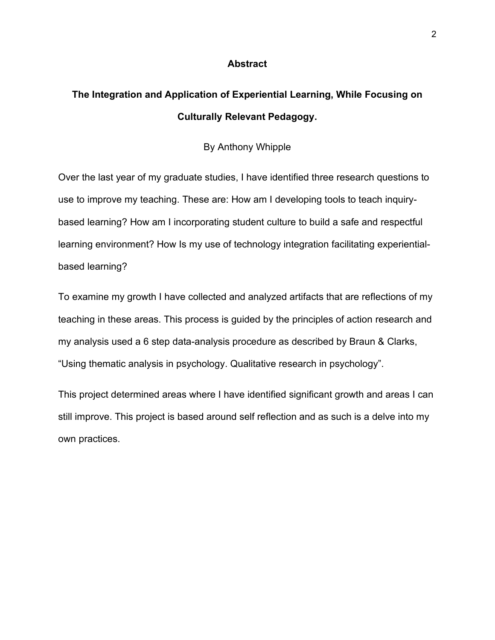### **Abstract**

# **The Integration and Application of Experiential Learning, While Focusing on Culturally Relevant Pedagogy.**

## By Anthony Whipple

Over the last year of my graduate studies, I have identified three research questions to use to improve my teaching. These are: How am I developing tools to teach inquirybased learning? How am I incorporating student culture to build a safe and respectful learning environment? How Is my use of technology integration facilitating experientialbased learning?

To examine my growth I have collected and analyzed artifacts that are reflections of my teaching in these areas. This process is guided by the principles of action research and my analysis used a 6 step data-analysis procedure as described by Braun & Clarks, "Using thematic analysis in psychology. Qualitative research in psychology".

This project determined areas where I have identified significant growth and areas I can still improve. This project is based around self reflection and as such is a delve into my own practices.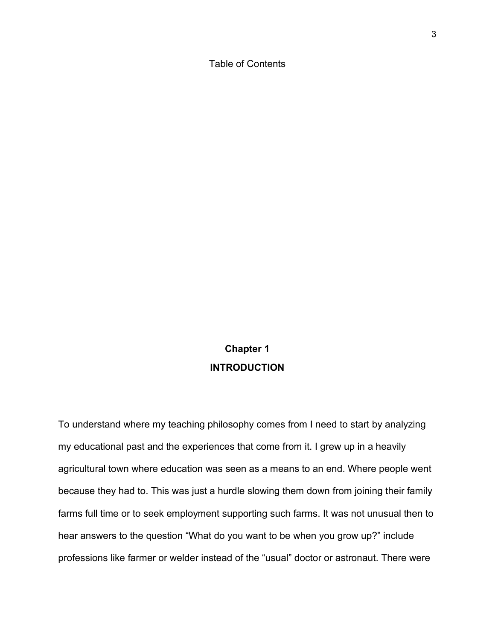Table of Contents

# **Chapter 1 INTRODUCTION**

To understand where my teaching philosophy comes from I need to start by analyzing my educational past and the experiences that come from it. I grew up in a heavily agricultural town where education was seen as a means to an end. Where people went because they had to. This was just a hurdle slowing them down from joining their family farms full time or to seek employment supporting such farms. It was not unusual then to hear answers to the question "What do you want to be when you grow up?" include professions like farmer or welder instead of the "usual" doctor or astronaut. There were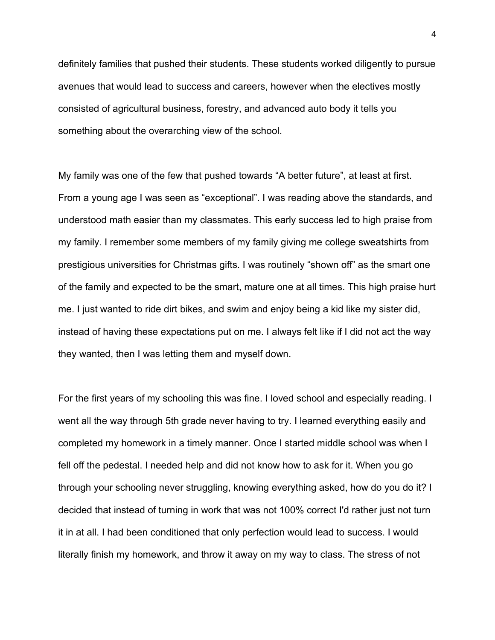definitely families that pushed their students. These students worked diligently to pursue avenues that would lead to success and careers, however when the electives mostly consisted of agricultural business, forestry, and advanced auto body it tells you something about the overarching view of the school.

My family was one of the few that pushed towards "A better future", at least at first. From a young age I was seen as "exceptional". I was reading above the standards, and understood math easier than my classmates. This early success led to high praise from my family. I remember some members of my family giving me college sweatshirts from prestigious universities for Christmas gifts. I was routinely "shown off" as the smart one of the family and expected to be the smart, mature one at all times. This high praise hurt me. I just wanted to ride dirt bikes, and swim and enjoy being a kid like my sister did, instead of having these expectations put on me. I always felt like if I did not act the way they wanted, then I was letting them and myself down.

For the first years of my schooling this was fine. I loved school and especially reading. I went all the way through 5th grade never having to try. I learned everything easily and completed my homework in a timely manner. Once I started middle school was when I fell off the pedestal. I needed help and did not know how to ask for it. When you go through your schooling never struggling, knowing everything asked, how do you do it? I decided that instead of turning in work that was not 100% correct I'd rather just not turn it in at all. I had been conditioned that only perfection would lead to success. I would literally finish my homework, and throw it away on my way to class. The stress of not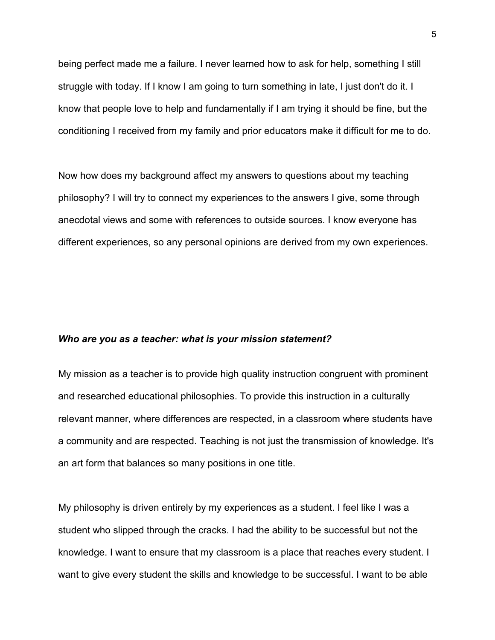being perfect made me a failure. I never learned how to ask for help, something I still struggle with today. If I know I am going to turn something in late, I just don't do it. I know that people love to help and fundamentally if I am trying it should be fine, but the conditioning I received from my family and prior educators make it difficult for me to do.

Now how does my background affect my answers to questions about my teaching philosophy? I will try to connect my experiences to the answers I give, some through anecdotal views and some with references to outside sources. I know everyone has different experiences, so any personal opinions are derived from my own experiences.

#### *Who are you as a teacher: what is your mission statement?*

My mission as a teacher is to provide high quality instruction congruent with prominent and researched educational philosophies. To provide this instruction in a culturally relevant manner, where differences are respected, in a classroom where students have a community and are respected. Teaching is not just the transmission of knowledge. It's an art form that balances so many positions in one title.

My philosophy is driven entirely by my experiences as a student. I feel like I was a student who slipped through the cracks. I had the ability to be successful but not the knowledge. I want to ensure that my classroom is a place that reaches every student. I want to give every student the skills and knowledge to be successful. I want to be able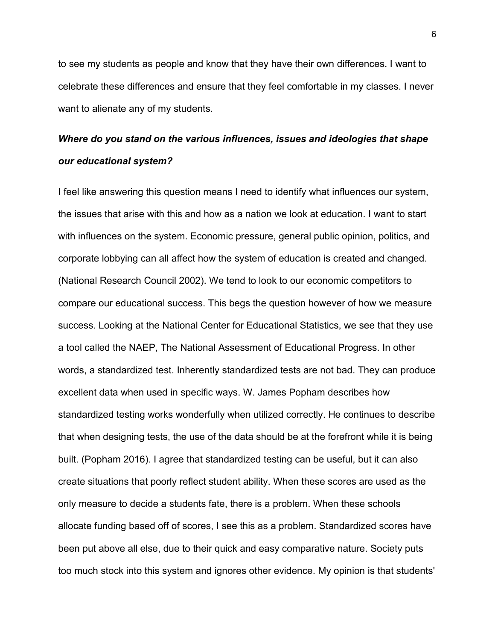to see my students as people and know that they have their own differences. I want to celebrate these differences and ensure that they feel comfortable in my classes. I never want to alienate any of my students.

# *Where do you stand on the various influences, issues and ideologies that shape our educational system?*

I feel like answering this question means I need to identify what influences our system, the issues that arise with this and how as a nation we look at education. I want to start with influences on the system. Economic pressure, general public opinion, politics, and corporate lobbying can all affect how the system of education is created and changed. (National Research Council 2002). We tend to look to our economic competitors to compare our educational success. This begs the question however of how we measure success. Looking at the National Center for Educational Statistics, we see that they use a tool called the NAEP, The National Assessment of Educational Progress. In other words, a standardized test. Inherently standardized tests are not bad. They can produce excellent data when used in specific ways. W. James Popham describes how standardized testing works wonderfully when utilized correctly. He continues to describe that when designing tests, the use of the data should be at the forefront while it is being built. (Popham 2016). I agree that standardized testing can be useful, but it can also create situations that poorly reflect student ability. When these scores are used as the only measure to decide a students fate, there is a problem. When these schools allocate funding based off of scores, I see this as a problem. Standardized scores have been put above all else, due to their quick and easy comparative nature. Society puts too much stock into this system and ignores other evidence. My opinion is that students'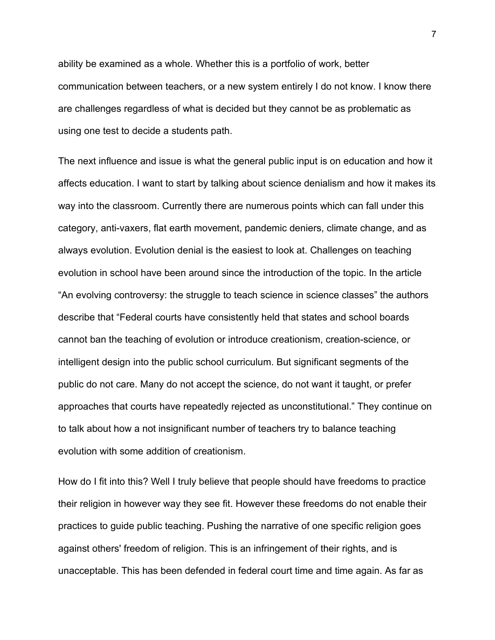ability be examined as a whole. Whether this is a portfolio of work, better communication between teachers, or a new system entirely I do not know. I know there are challenges regardless of what is decided but they cannot be as problematic as using one test to decide a students path.

The next influence and issue is what the general public input is on education and how it affects education. I want to start by talking about science denialism and how it makes its way into the classroom. Currently there are numerous points which can fall under this category, anti-vaxers, flat earth movement, pandemic deniers, climate change, and as always evolution. Evolution denial is the easiest to look at. Challenges on teaching evolution in school have been around since the introduction of the topic. In the article "An evolving controversy: the struggle to teach science in science classes" the authors describe that "Federal courts have consistently held that states and school boards cannot ban the teaching of evolution or introduce creationism, creation-science, or intelligent design into the public school curriculum. But significant segments of the public do not care. Many do not accept the science, do not want it taught, or prefer approaches that courts have repeatedly rejected as unconstitutional." They continue on to talk about how a not insignificant number of teachers try to balance teaching evolution with some addition of creationism.

How do I fit into this? Well I truly believe that people should have freedoms to practice their religion in however way they see fit. However these freedoms do not enable their practices to guide public teaching. Pushing the narrative of one specific religion goes against others' freedom of religion. This is an infringement of their rights, and is unacceptable. This has been defended in federal court time and time again. As far as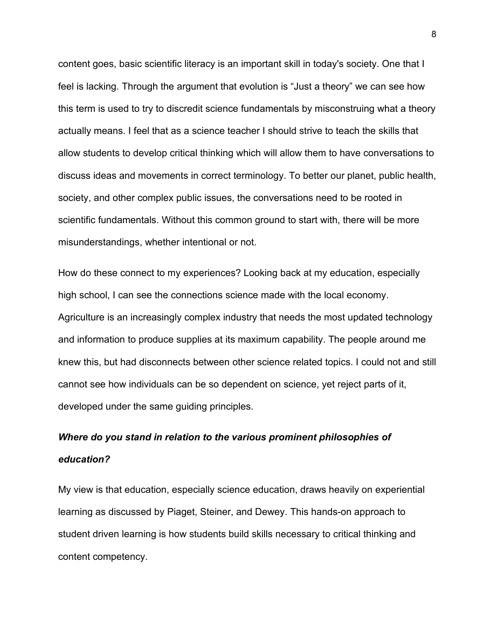content goes, basic scientific literacy is an important skill in today's society. One that I feel is lacking. Through the argument that evolution is "Just a theory" we can see how this term is used to try to discredit science fundamentals by misconstruing what a theory actually means. I feel that as a science teacher I should strive to teach the skills that allow students to develop critical thinking which will allow them to have conversations to discuss ideas and movements in correct terminology. To better our planet, public health, society, and other complex public issues, the conversations need to be rooted in scientific fundamentals. Without this common ground to start with, there will be more misunderstandings, whether intentional or not.

How do these connect to my experiences? Looking back at my education, especially high school, I can see the connections science made with the local economy. Agriculture is an increasingly complex industry that needs the most updated technology and information to produce supplies at its maximum capability. The people around me knew this, but had disconnects between other science related topics. I could not and still cannot see how individuals can be so dependent on science, yet reject parts of it, developed under the same guiding principles.

# *Where do you stand in relation to the various prominent philosophies of education?*

My view is that education, especially science education, draws heavily on experiential learning as discussed by Piaget, Steiner, and Dewey. This hands-on approach to student driven learning is how students build skills necessary to critical thinking and content competency.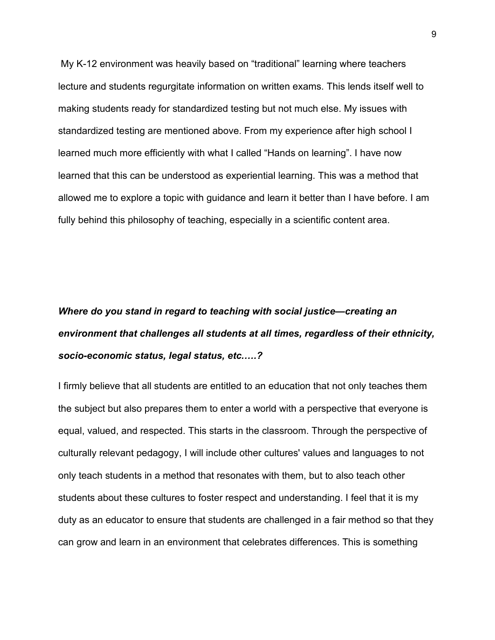My K-12 environment was heavily based on "traditional" learning where teachers lecture and students regurgitate information on written exams. This lends itself well to making students ready for standardized testing but not much else. My issues with standardized testing are mentioned above. From my experience after high school I learned much more efficiently with what I called "Hands on learning". I have now learned that this can be understood as experiential learning. This was a method that allowed me to explore a topic with guidance and learn it better than I have before. I am fully behind this philosophy of teaching, especially in a scientific content area.

# *Where do you stand in regard to teaching with social justice—creating an environment that challenges all students at all times, regardless of their ethnicity, socio-economic status, legal status, etc.….?*

I firmly believe that all students are entitled to an education that not only teaches them the subject but also prepares them to enter a world with a perspective that everyone is equal, valued, and respected. This starts in the classroom. Through the perspective of culturally relevant pedagogy, I will include other cultures' values and languages to not only teach students in a method that resonates with them, but to also teach other students about these cultures to foster respect and understanding. I feel that it is my duty as an educator to ensure that students are challenged in a fair method so that they can grow and learn in an environment that celebrates differences. This is something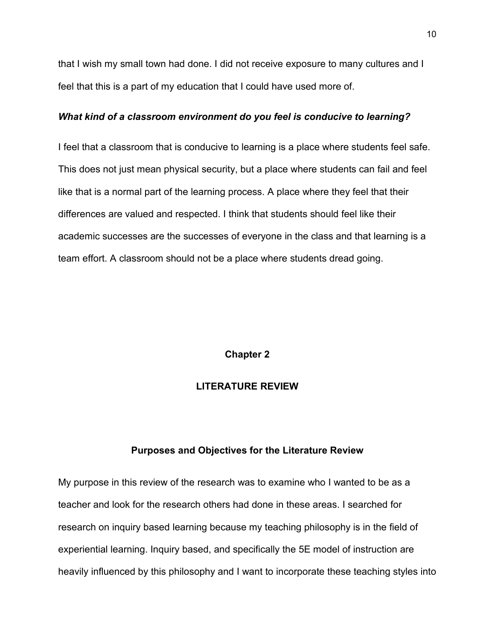that I wish my small town had done. I did not receive exposure to many cultures and I feel that this is a part of my education that I could have used more of.

### *What kind of a classroom environment do you feel is conducive to learning?*

I feel that a classroom that is conducive to learning is a place where students feel safe. This does not just mean physical security, but a place where students can fail and feel like that is a normal part of the learning process. A place where they feel that their differences are valued and respected. I think that students should feel like their academic successes are the successes of everyone in the class and that learning is a team effort. A classroom should not be a place where students dread going.

# **Chapter 2**

## **LITERATURE REVIEW**

## **Purposes and Objectives for the Literature Review**

My purpose in this review of the research was to examine who I wanted to be as a teacher and look for the research others had done in these areas. I searched for research on inquiry based learning because my teaching philosophy is in the field of experiential learning. Inquiry based, and specifically the 5E model of instruction are heavily influenced by this philosophy and I want to incorporate these teaching styles into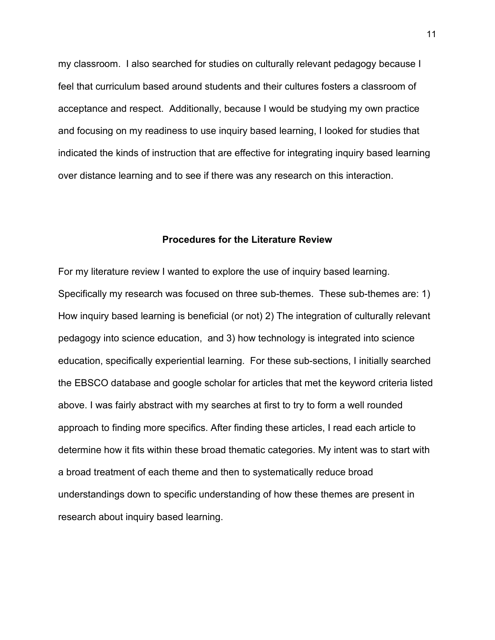my classroom. I also searched for studies on culturally relevant pedagogy because I feel that curriculum based around students and their cultures fosters a classroom of acceptance and respect. Additionally, because I would be studying my own practice and focusing on my readiness to use inquiry based learning, I looked for studies that indicated the kinds of instruction that are effective for integrating inquiry based learning over distance learning and to see if there was any research on this interaction.

## **Procedures for the Literature Review**

For my literature review I wanted to explore the use of inquiry based learning. Specifically my research was focused on three sub-themes. These sub-themes are: 1) How inquiry based learning is beneficial (or not) 2) The integration of culturally relevant pedagogy into science education, and 3) how technology is integrated into science education, specifically experiential learning. For these sub-sections, I initially searched the EBSCO database and google scholar for articles that met the keyword criteria listed above. I was fairly abstract with my searches at first to try to form a well rounded approach to finding more specifics. After finding these articles, I read each article to determine how it fits within these broad thematic categories. My intent was to start with a broad treatment of each theme and then to systematically reduce broad understandings down to specific understanding of how these themes are present in research about inquiry based learning.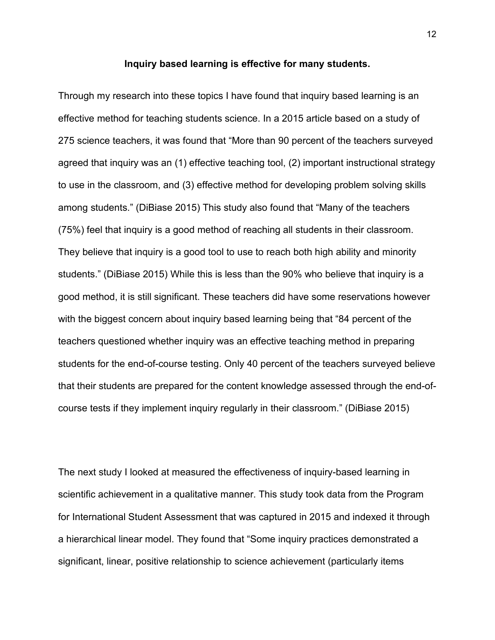### **Inquiry based learning is effective for many students.**

Through my research into these topics I have found that inquiry based learning is an effective method for teaching students science. In a 2015 article based on a study of 275 science teachers, it was found that "More than 90 percent of the teachers surveyed agreed that inquiry was an (1) effective teaching tool, (2) important instructional strategy to use in the classroom, and (3) effective method for developing problem solving skills among students." (DiBiase 2015) This study also found that "Many of the teachers (75%) feel that inquiry is a good method of reaching all students in their classroom. They believe that inquiry is a good tool to use to reach both high ability and minority students." (DiBiase 2015) While this is less than the 90% who believe that inquiry is a good method, it is still significant. These teachers did have some reservations however with the biggest concern about inquiry based learning being that "84 percent of the teachers questioned whether inquiry was an effective teaching method in preparing students for the end-of-course testing. Only 40 percent of the teachers surveyed believe that their students are prepared for the content knowledge assessed through the end-ofcourse tests if they implement inquiry regularly in their classroom." (DiBiase 2015)

The next study I looked at measured the effectiveness of inquiry-based learning in scientific achievement in a qualitative manner. This study took data from the Program for International Student Assessment that was captured in 2015 and indexed it through a hierarchical linear model. They found that "Some inquiry practices demonstrated a significant, linear, positive relationship to science achievement (particularly items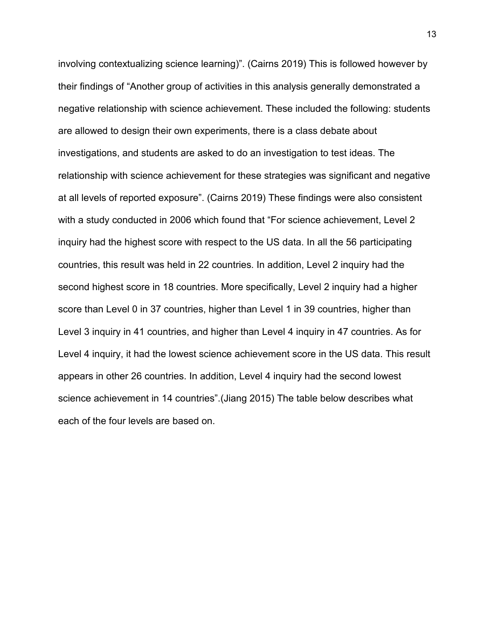involving contextualizing science learning)". (Cairns 2019) This is followed however by their findings of "Another group of activities in this analysis generally demonstrated a negative relationship with science achievement. These included the following: students are allowed to design their own experiments, there is a class debate about investigations, and students are asked to do an investigation to test ideas. The relationship with science achievement for these strategies was significant and negative at all levels of reported exposure". (Cairns 2019) These findings were also consistent with a study conducted in 2006 which found that "For science achievement, Level 2 inquiry had the highest score with respect to the US data. In all the 56 participating countries, this result was held in 22 countries. In addition, Level 2 inquiry had the second highest score in 18 countries. More specifically, Level 2 inquiry had a higher score than Level 0 in 37 countries, higher than Level 1 in 39 countries, higher than Level 3 inquiry in 41 countries, and higher than Level 4 inquiry in 47 countries. As for Level 4 inquiry, it had the lowest science achievement score in the US data. This result appears in other 26 countries. In addition, Level 4 inquiry had the second lowest science achievement in 14 countries".(Jiang 2015) The table below describes what each of the four levels are based on.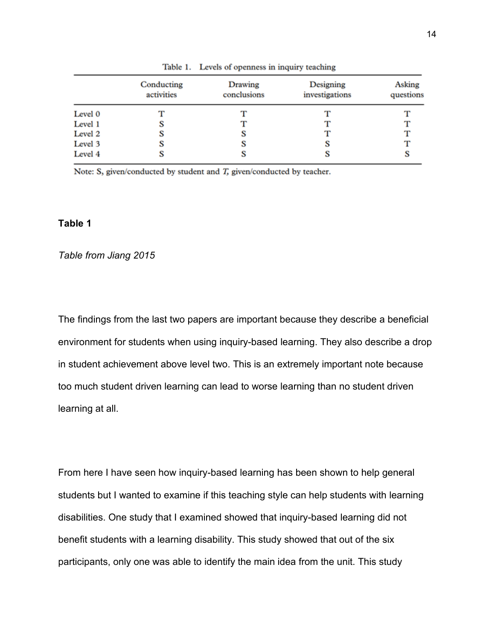|         | Conducting<br>activities | Drawing<br>conclusions | Designing<br>investigations | Asking<br>questions |
|---------|--------------------------|------------------------|-----------------------------|---------------------|
|         |                          |                        |                             |                     |
| Level 0 |                          |                        |                             |                     |
| Level 1 |                          |                        |                             |                     |
| Level 2 |                          | s                      |                             |                     |
| Level 3 |                          | s                      | s                           |                     |
| Level 4 |                          | S                      | S                           |                     |

Table 1. Levels of openness in inquiry teaching

Note: S, given/conducted by student and  $T$ , given/conducted by teacher.

# **Table 1**

### *Table from Jiang 2015*

The findings from the last two papers are important because they describe a beneficial environment for students when using inquiry-based learning. They also describe a drop in student achievement above level two. This is an extremely important note because too much student driven learning can lead to worse learning than no student driven learning at all.

From here I have seen how inquiry-based learning has been shown to help general students but I wanted to examine if this teaching style can help students with learning disabilities. One study that I examined showed that inquiry-based learning did not benefit students with a learning disability. This study showed that out of the six participants, only one was able to identify the main idea from the unit. This study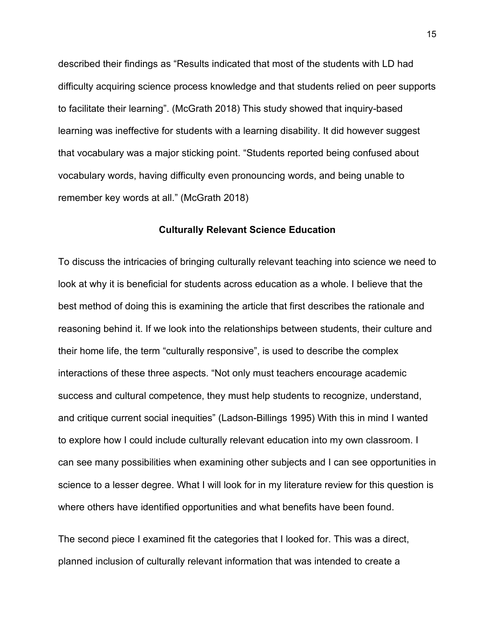described their findings as "Results indicated that most of the students with LD had difficulty acquiring science process knowledge and that students relied on peer supports to facilitate their learning". (McGrath 2018) This study showed that inquiry-based learning was ineffective for students with a learning disability. It did however suggest that vocabulary was a major sticking point. "Students reported being confused about vocabulary words, having difficulty even pronouncing words, and being unable to remember key words at all." (McGrath 2018)

### **Culturally Relevant Science Education**

To discuss the intricacies of bringing culturally relevant teaching into science we need to look at why it is beneficial for students across education as a whole. I believe that the best method of doing this is examining the article that first describes the rationale and reasoning behind it. If we look into the relationships between students, their culture and their home life, the term "culturally responsive", is used to describe the complex interactions of these three aspects. "Not only must teachers encourage academic success and cultural competence, they must help students to recognize, understand, and critique current social inequities" (Ladson-Billings 1995) With this in mind I wanted to explore how I could include culturally relevant education into my own classroom. I can see many possibilities when examining other subjects and I can see opportunities in science to a lesser degree. What I will look for in my literature review for this question is where others have identified opportunities and what benefits have been found.

The second piece I examined fit the categories that I looked for. This was a direct, planned inclusion of culturally relevant information that was intended to create a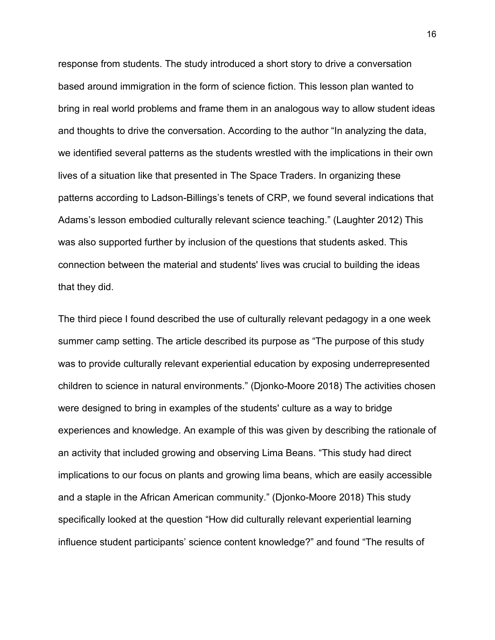response from students. The study introduced a short story to drive a conversation based around immigration in the form of science fiction. This lesson plan wanted to bring in real world problems and frame them in an analogous way to allow student ideas and thoughts to drive the conversation. According to the author "In analyzing the data, we identified several patterns as the students wrestled with the implications in their own lives of a situation like that presented in The Space Traders. In organizing these patterns according to Ladson-Billings's tenets of CRP, we found several indications that Adams's lesson embodied culturally relevant science teaching." (Laughter 2012) This was also supported further by inclusion of the questions that students asked. This connection between the material and students' lives was crucial to building the ideas that they did.

The third piece I found described the use of culturally relevant pedagogy in a one week summer camp setting. The article described its purpose as "The purpose of this study was to provide culturally relevant experiential education by exposing underrepresented children to science in natural environments." (Djonko-Moore 2018) The activities chosen were designed to bring in examples of the students' culture as a way to bridge experiences and knowledge. An example of this was given by describing the rationale of an activity that included growing and observing Lima Beans. "This study had direct implications to our focus on plants and growing lima beans, which are easily accessible and a staple in the African American community." (Djonko-Moore 2018) This study specifically looked at the question "How did culturally relevant experiential learning influence student participants' science content knowledge?" and found "The results of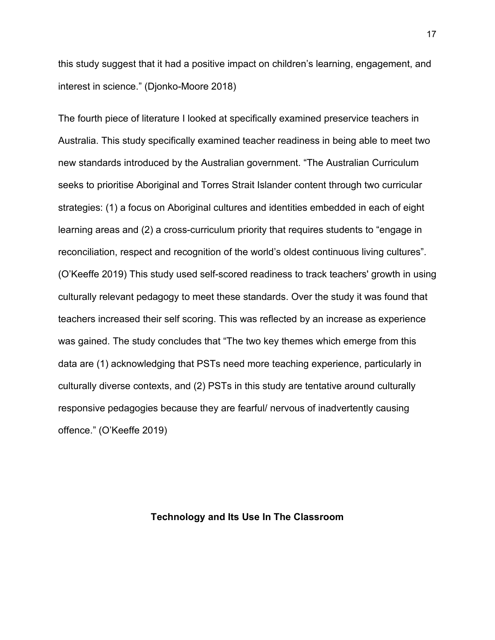this study suggest that it had a positive impact on children's learning, engagement, and interest in science." (Djonko-Moore 2018)

The fourth piece of literature I looked at specifically examined preservice teachers in Australia. This study specifically examined teacher readiness in being able to meet two new standards introduced by the Australian government. "The Australian Curriculum seeks to prioritise Aboriginal and Torres Strait Islander content through two curricular strategies: (1) a focus on Aboriginal cultures and identities embedded in each of eight learning areas and (2) a cross-curriculum priority that requires students to "engage in reconciliation, respect and recognition of the world's oldest continuous living cultures". (O'Keeffe 2019) This study used self-scored readiness to track teachers' growth in using culturally relevant pedagogy to meet these standards. Over the study it was found that teachers increased their self scoring. This was reflected by an increase as experience was gained. The study concludes that "The two key themes which emerge from this data are (1) acknowledging that PSTs need more teaching experience, particularly in culturally diverse contexts, and (2) PSTs in this study are tentative around culturally responsive pedagogies because they are fearful/ nervous of inadvertently causing offence." (O'Keeffe 2019)

## **Technology and Its Use In The Classroom**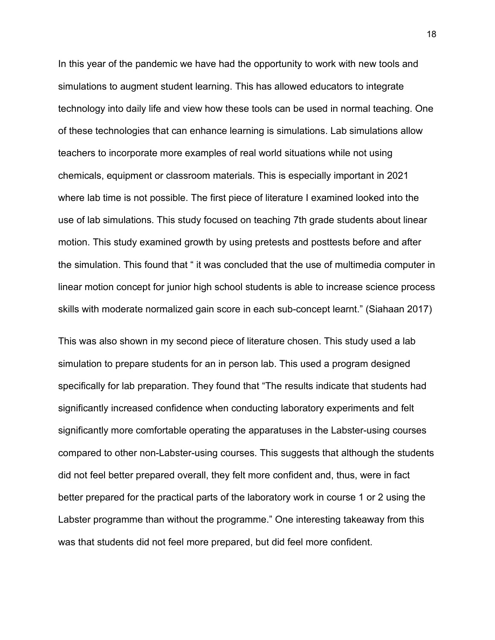In this year of the pandemic we have had the opportunity to work with new tools and simulations to augment student learning. This has allowed educators to integrate technology into daily life and view how these tools can be used in normal teaching. One of these technologies that can enhance learning is simulations. Lab simulations allow teachers to incorporate more examples of real world situations while not using chemicals, equipment or classroom materials. This is especially important in 2021 where lab time is not possible. The first piece of literature I examined looked into the use of lab simulations. This study focused on teaching 7th grade students about linear motion. This study examined growth by using pretests and posttests before and after the simulation. This found that " it was concluded that the use of multimedia computer in linear motion concept for junior high school students is able to increase science process skills with moderate normalized gain score in each sub-concept learnt." (Siahaan 2017)

This was also shown in my second piece of literature chosen. This study used a lab simulation to prepare students for an in person lab. This used a program designed specifically for lab preparation. They found that "The results indicate that students had significantly increased confidence when conducting laboratory experiments and felt significantly more comfortable operating the apparatuses in the Labster-using courses compared to other non-Labster-using courses. This suggests that although the students did not feel better prepared overall, they felt more confident and, thus, were in fact better prepared for the practical parts of the laboratory work in course 1 or 2 using the Labster programme than without the programme." One interesting takeaway from this was that students did not feel more prepared, but did feel more confident.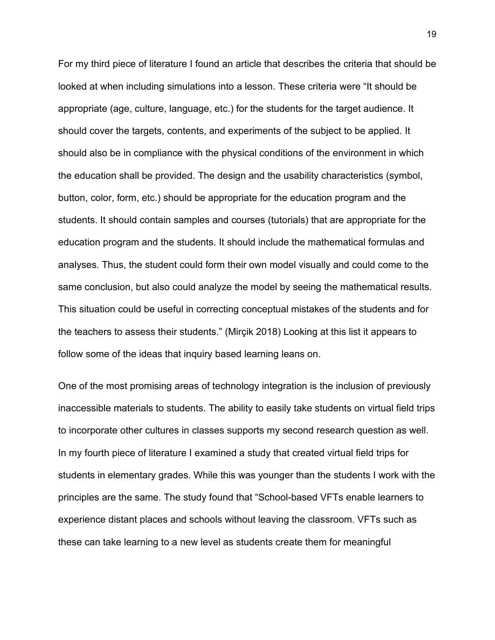For my third piece of literature I found an article that describes the criteria that should be looked at when including simulations into a lesson. These criteria were "It should be appropriate (age, culture, language, etc.) for the students for the target audience. It should cover the targets, contents, and experiments of the subject to be applied. It should also be in compliance with the physical conditions of the environment in which the education shall be provided. The design and the usability characteristics (symbol, button, color, form, etc.) should be appropriate for the education program and the students. It should contain samples and courses (tutorials) that are appropriate for the education program and the students. It should include the mathematical formulas and analyses. Thus, the student could form their own model visually and could come to the same conclusion, but also could analyze the model by seeing the mathematical results. This situation could be useful in correcting conceptual mistakes of the students and for the teachers to assess their students." (Mirçik 2018) Looking at this list it appears to follow some of the ideas that inquiry based learning leans on.

One of the most promising areas of technology integration is the inclusion of previously inaccessible materials to students. The ability to easily take students on virtual field trips to incorporate other cultures in classes supports my second research question as well. In my fourth piece of literature I examined a study that created virtual field trips for students in elementary grades. While this was younger than the students I work with the principles are the same. The study found that "School-based VFTs enable learners to experience distant places and schools without leaving the classroom. VFTs such as these can take learning to a new level as students create them for meaningful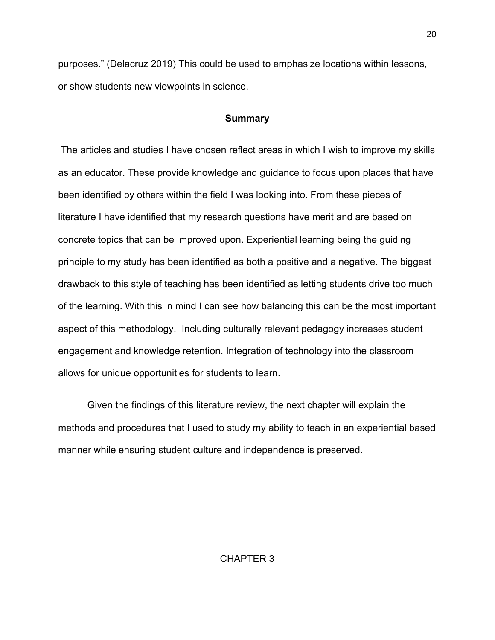purposes." (Delacruz 2019) This could be used to emphasize locations within lessons, or show students new viewpoints in science.

### **Summary**

The articles and studies I have chosen reflect areas in which I wish to improve my skills as an educator. These provide knowledge and guidance to focus upon places that have been identified by others within the field I was looking into. From these pieces of literature I have identified that my research questions have merit and are based on concrete topics that can be improved upon. Experiential learning being the guiding principle to my study has been identified as both a positive and a negative. The biggest drawback to this style of teaching has been identified as letting students drive too much of the learning. With this in mind I can see how balancing this can be the most important aspect of this methodology. Including culturally relevant pedagogy increases student engagement and knowledge retention. Integration of technology into the classroom allows for unique opportunities for students to learn.

 Given the findings of this literature review, the next chapter will explain the methods and procedures that I used to study my ability to teach in an experiential based manner while ensuring student culture and independence is preserved.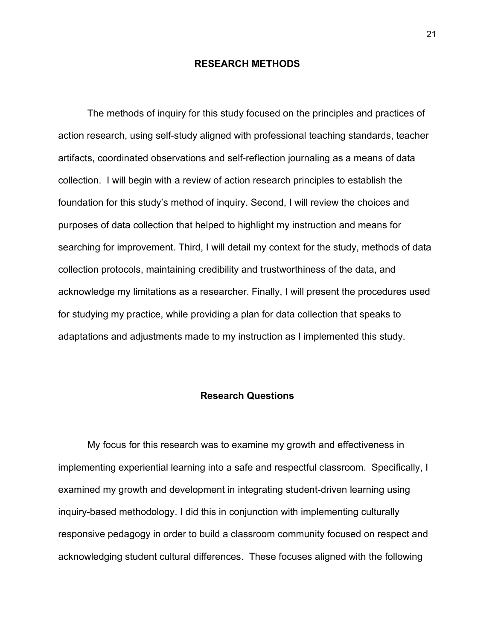### **RESEARCH METHODS**

The methods of inquiry for this study focused on the principles and practices of action research, using self-study aligned with professional teaching standards, teacher artifacts, coordinated observations and self-reflection journaling as a means of data collection. I will begin with a review of action research principles to establish the foundation for this study's method of inquiry. Second, I will review the choices and purposes of data collection that helped to highlight my instruction and means for searching for improvement. Third, I will detail my context for the study, methods of data collection protocols, maintaining credibility and trustworthiness of the data, and acknowledge my limitations as a researcher. Finally, I will present the procedures used for studying my practice, while providing a plan for data collection that speaks to adaptations and adjustments made to my instruction as I implemented this study.

### **Research Questions**

My focus for this research was to examine my growth and effectiveness in implementing experiential learning into a safe and respectful classroom. Specifically, I examined my growth and development in integrating student-driven learning using inquiry-based methodology. I did this in conjunction with implementing culturally responsive pedagogy in order to build a classroom community focused on respect and acknowledging student cultural differences. These focuses aligned with the following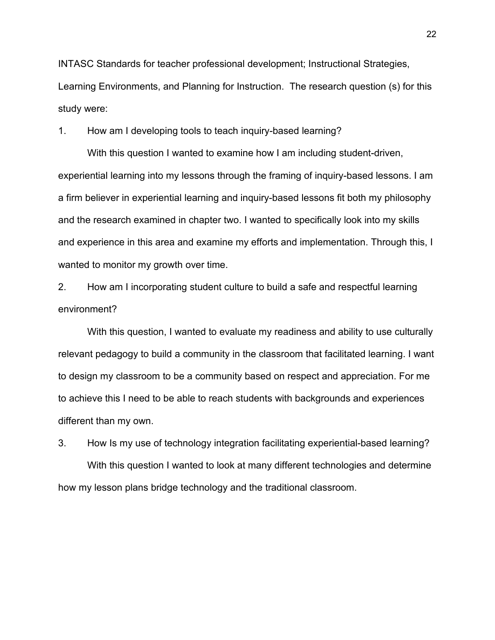INTASC Standards for teacher professional development; Instructional Strategies, Learning Environments, and Planning for Instruction. The research question (s) for this study were:

1. How am I developing tools to teach inquiry-based learning?

With this question I wanted to examine how I am including student-driven, experiential learning into my lessons through the framing of inquiry-based lessons. I am a firm believer in experiential learning and inquiry-based lessons fit both my philosophy and the research examined in chapter two. I wanted to specifically look into my skills and experience in this area and examine my efforts and implementation. Through this, I wanted to monitor my growth over time.

2. How am I incorporating student culture to build a safe and respectful learning environment?

With this question, I wanted to evaluate my readiness and ability to use culturally relevant pedagogy to build a community in the classroom that facilitated learning. I want to design my classroom to be a community based on respect and appreciation. For me to achieve this I need to be able to reach students with backgrounds and experiences different than my own.

3. How Is my use of technology integration facilitating experiential-based learning? With this question I wanted to look at many different technologies and determine how my lesson plans bridge technology and the traditional classroom.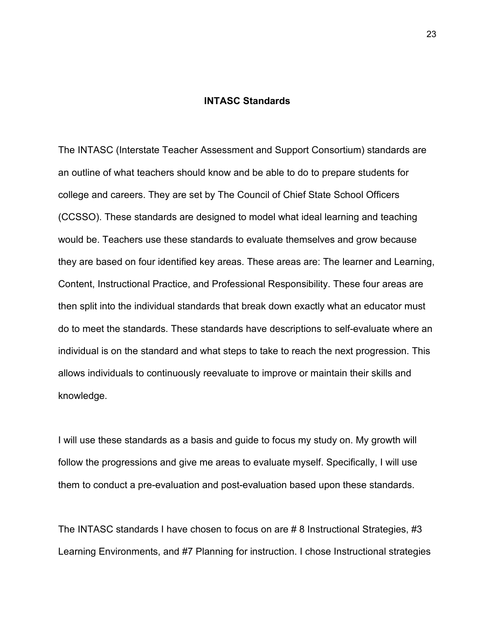#### **INTASC Standards**

The INTASC (Interstate Teacher Assessment and Support Consortium) standards are an outline of what teachers should know and be able to do to prepare students for college and careers. They are set by The Council of Chief State School Officers (CCSSO). These standards are designed to model what ideal learning and teaching would be. Teachers use these standards to evaluate themselves and grow because they are based on four identified key areas. These areas are: The learner and Learning, Content, Instructional Practice, and Professional Responsibility. These four areas are then split into the individual standards that break down exactly what an educator must do to meet the standards. These standards have descriptions to self-evaluate where an individual is on the standard and what steps to take to reach the next progression. This allows individuals to continuously reevaluate to improve or maintain their skills and knowledge.

I will use these standards as a basis and guide to focus my study on. My growth will follow the progressions and give me areas to evaluate myself. Specifically, I will use them to conduct a pre-evaluation and post-evaluation based upon these standards.

The INTASC standards I have chosen to focus on are # 8 Instructional Strategies, #3 Learning Environments, and #7 Planning for instruction. I chose Instructional strategies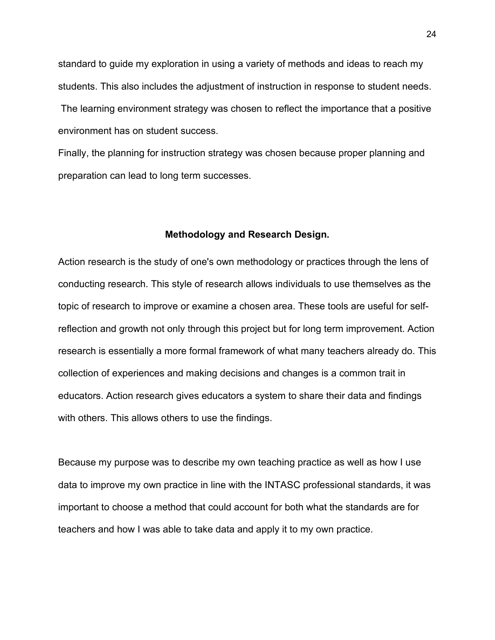standard to guide my exploration in using a variety of methods and ideas to reach my students. This also includes the adjustment of instruction in response to student needs. The learning environment strategy was chosen to reflect the importance that a positive environment has on student success.

Finally, the planning for instruction strategy was chosen because proper planning and preparation can lead to long term successes.

### **Methodology and Research Design.**

Action research is the study of one's own methodology or practices through the lens of conducting research. This style of research allows individuals to use themselves as the topic of research to improve or examine a chosen area. These tools are useful for selfreflection and growth not only through this project but for long term improvement. Action research is essentially a more formal framework of what many teachers already do. This collection of experiences and making decisions and changes is a common trait in educators. Action research gives educators a system to share their data and findings with others. This allows others to use the findings.

Because my purpose was to describe my own teaching practice as well as how I use data to improve my own practice in line with the INTASC professional standards, it was important to choose a method that could account for both what the standards are for teachers and how I was able to take data and apply it to my own practice.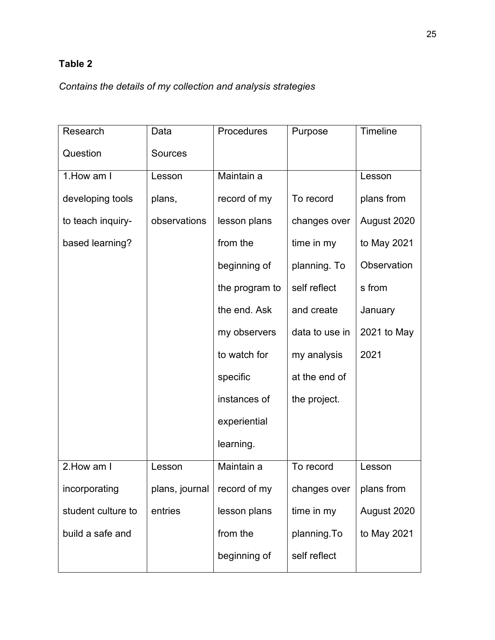# **Table 2**

*Contains the details of my collection and analysis strategies*

| Research           | Data           | Procedures     | Purpose        | Timeline    |
|--------------------|----------------|----------------|----------------|-------------|
| Question           | <b>Sources</b> |                |                |             |
| 1. How am I        | Lesson         | Maintain a     |                | Lesson      |
| developing tools   | plans,         | record of my   | To record      | plans from  |
| to teach inquiry-  | observations   | lesson plans   | changes over   | August 2020 |
| based learning?    |                | from the       | time in my     | to May 2021 |
|                    |                | beginning of   | planning. To   | Observation |
|                    |                | the program to | self reflect   | s from      |
|                    |                | the end. Ask   | and create     | January     |
|                    |                | my observers   | data to use in | 2021 to May |
|                    |                | to watch for   | my analysis    | 2021        |
|                    |                | specific       | at the end of  |             |
|                    |                | instances of   | the project.   |             |
|                    |                | experiential   |                |             |
|                    |                | learning.      |                |             |
| 2. How am I        | Lesson         | Maintain a     | To record      | Lesson      |
| incorporating      | plans, journal | record of my   | changes over   | plans from  |
| student culture to | entries        | lesson plans   | time in my     | August 2020 |
| build a safe and   |                | from the       | planning.To    | to May 2021 |
|                    |                | beginning of   | self reflect   |             |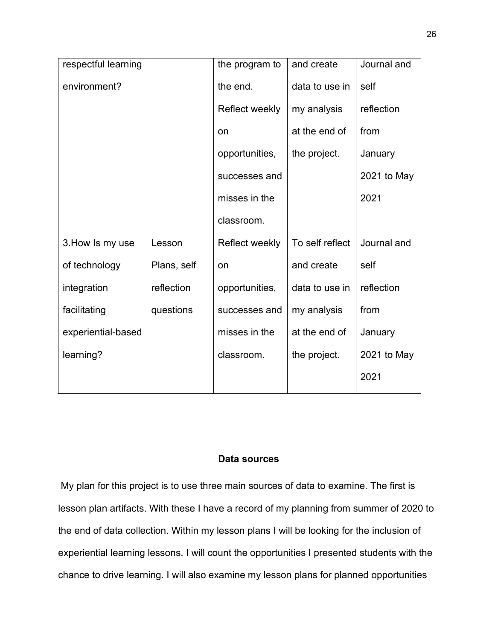| respectful learning |             | the program to | and create      | Journal and |
|---------------------|-------------|----------------|-----------------|-------------|
| environment?        |             | the end.       | data to use in  | self        |
|                     |             | Reflect weekly | my analysis     | reflection  |
|                     |             | on             | at the end of   | from        |
|                     |             | opportunities, | the project.    | January     |
|                     |             | successes and  |                 | 2021 to May |
|                     |             | misses in the  |                 | 2021        |
|                     |             | classroom.     |                 |             |
| 3. How Is my use    | Lesson      | Reflect weekly | To self reflect | Journal and |
| of technology       | Plans, self | on             | and create      | self        |
| integration         | reflection  | opportunities, | data to use in  | reflection  |
| facilitating        | questions   | successes and  | my analysis     | from        |
| experiential-based  |             | misses in the  | at the end of   | January     |
| learning?           |             | classroom.     | the project.    | 2021 to May |
|                     |             |                |                 | 2021        |

## **Data sources**

My plan for this project is to use three main sources of data to examine. The first is lesson plan artifacts. With these I have a record of my planning from summer of 2020 to the end of data collection. Within my lesson plans I will be looking for the inclusion of experiential learning lessons. I will count the opportunities I presented students with the chance to drive learning. I will also examine my lesson plans for planned opportunities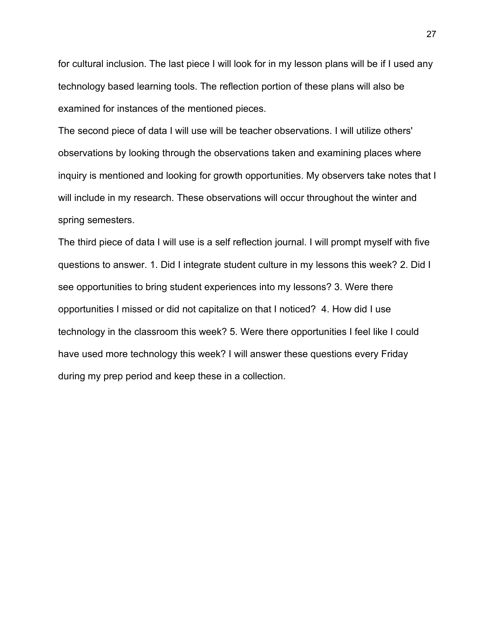for cultural inclusion. The last piece I will look for in my lesson plans will be if I used any technology based learning tools. The reflection portion of these plans will also be examined for instances of the mentioned pieces.

The second piece of data I will use will be teacher observations. I will utilize others' observations by looking through the observations taken and examining places where inquiry is mentioned and looking for growth opportunities. My observers take notes that I will include in my research. These observations will occur throughout the winter and spring semesters.

The third piece of data I will use is a self reflection journal. I will prompt myself with five questions to answer. 1. Did I integrate student culture in my lessons this week? 2. Did I see opportunities to bring student experiences into my lessons? 3. Were there opportunities I missed or did not capitalize on that I noticed? 4. How did I use technology in the classroom this week? 5. Were there opportunities I feel like I could have used more technology this week? I will answer these questions every Friday during my prep period and keep these in a collection.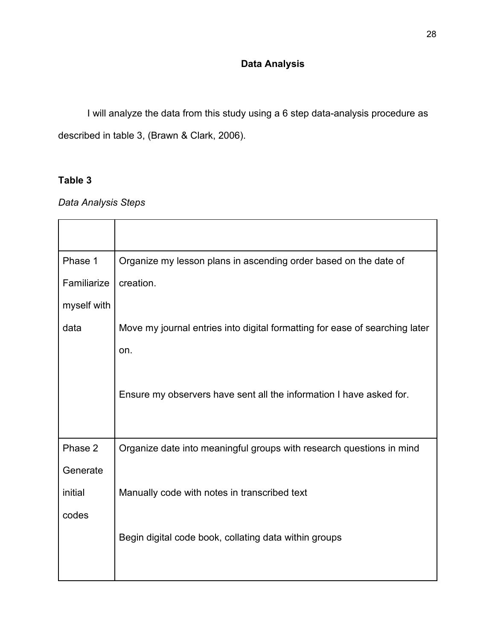# **Data Analysis**

I will analyze the data from this study using a 6 step data-analysis procedure as described in table 3, (Brawn & Clark, 2006).

# **Table 3**

*Data Analysis Steps* 

| Phase 1     | Organize my lesson plans in ascending order based on the date of            |
|-------------|-----------------------------------------------------------------------------|
| Familiarize | creation.                                                                   |
| myself with |                                                                             |
| data        | Move my journal entries into digital formatting for ease of searching later |
|             | on.                                                                         |
|             |                                                                             |
|             | Ensure my observers have sent all the information I have asked for.         |
|             |                                                                             |
| Phase 2     | Organize date into meaningful groups with research questions in mind        |
| Generate    |                                                                             |
| initial     | Manually code with notes in transcribed text                                |
| codes       |                                                                             |
|             | Begin digital code book, collating data within groups                       |
|             |                                                                             |
|             |                                                                             |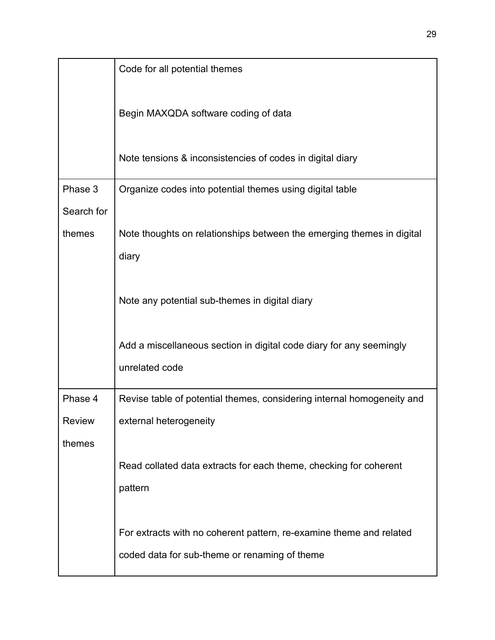|               | Code for all potential themes                                          |
|---------------|------------------------------------------------------------------------|
|               | Begin MAXQDA software coding of data                                   |
|               | Note tensions & inconsistencies of codes in digital diary              |
| Phase 3       | Organize codes into potential themes using digital table               |
| Search for    |                                                                        |
| themes        | Note thoughts on relationships between the emerging themes in digital  |
|               | diary                                                                  |
|               |                                                                        |
|               | Note any potential sub-themes in digital diary                         |
|               |                                                                        |
|               | Add a miscellaneous section in digital code diary for any seemingly    |
|               | unrelated code                                                         |
| Phase 4       | Revise table of potential themes, considering internal homogeneity and |
| <b>Review</b> | external heterogeneity                                                 |
| themes        |                                                                        |
|               | Read collated data extracts for each theme, checking for coherent      |
|               | pattern                                                                |
|               |                                                                        |
|               | For extracts with no coherent pattern, re-examine theme and related    |
|               | coded data for sub-theme or renaming of theme                          |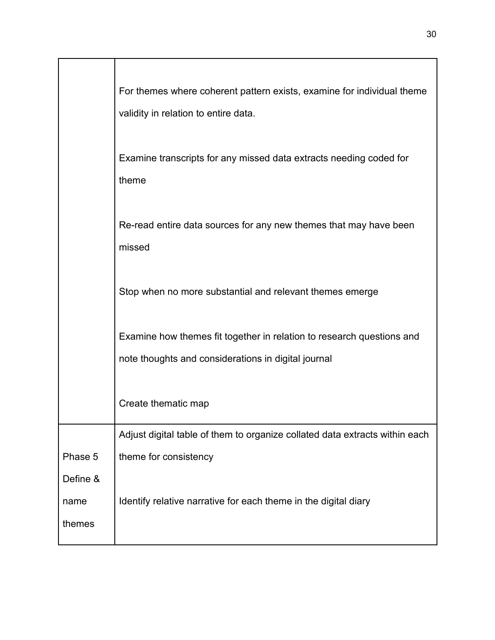|          | For themes where coherent pattern exists, examine for individual theme<br>validity in relation to entire data.               |
|----------|------------------------------------------------------------------------------------------------------------------------------|
|          | Examine transcripts for any missed data extracts needing coded for<br>theme                                                  |
|          | Re-read entire data sources for any new themes that may have been<br>missed                                                  |
|          | Stop when no more substantial and relevant themes emerge                                                                     |
|          | Examine how themes fit together in relation to research questions and<br>note thoughts and considerations in digital journal |
|          | Create thematic map                                                                                                          |
|          | Adjust digital table of them to organize collated data extracts within each                                                  |
| Phase 5  | theme for consistency                                                                                                        |
| Define & |                                                                                                                              |
| name     | Identify relative narrative for each theme in the digital diary                                                              |
| themes   |                                                                                                                              |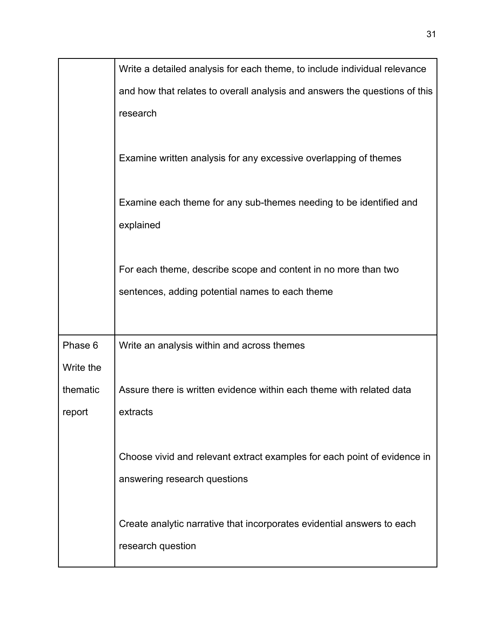|           | Write a detailed analysis for each theme, to include individual relevance  |
|-----------|----------------------------------------------------------------------------|
|           | and how that relates to overall analysis and answers the questions of this |
|           | research                                                                   |
|           |                                                                            |
|           | Examine written analysis for any excessive overlapping of themes           |
|           |                                                                            |
|           | Examine each theme for any sub-themes needing to be identified and         |
|           | explained                                                                  |
|           |                                                                            |
|           | For each theme, describe scope and content in no more than two             |
|           | sentences, adding potential names to each theme                            |
|           |                                                                            |
|           |                                                                            |
| Phase 6   | Write an analysis within and across themes                                 |
| Write the |                                                                            |
| thematic  | Assure there is written evidence within each theme with related data       |
| report    | extracts                                                                   |
|           |                                                                            |
|           | Choose vivid and relevant extract examples for each point of evidence in   |
|           | answering research questions                                               |
|           |                                                                            |
|           | Create analytic narrative that incorporates evidential answers to each     |
|           | research question                                                          |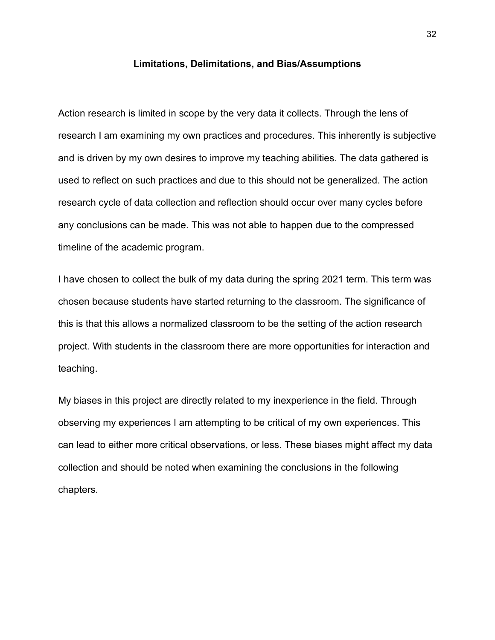### **Limitations, Delimitations, and Bias/Assumptions**

Action research is limited in scope by the very data it collects. Through the lens of research I am examining my own practices and procedures. This inherently is subjective and is driven by my own desires to improve my teaching abilities. The data gathered is used to reflect on such practices and due to this should not be generalized. The action research cycle of data collection and reflection should occur over many cycles before any conclusions can be made. This was not able to happen due to the compressed timeline of the academic program.

I have chosen to collect the bulk of my data during the spring 2021 term. This term was chosen because students have started returning to the classroom. The significance of this is that this allows a normalized classroom to be the setting of the action research project. With students in the classroom there are more opportunities for interaction and teaching.

My biases in this project are directly related to my inexperience in the field. Through observing my experiences I am attempting to be critical of my own experiences. This can lead to either more critical observations, or less. These biases might affect my data collection and should be noted when examining the conclusions in the following chapters.

32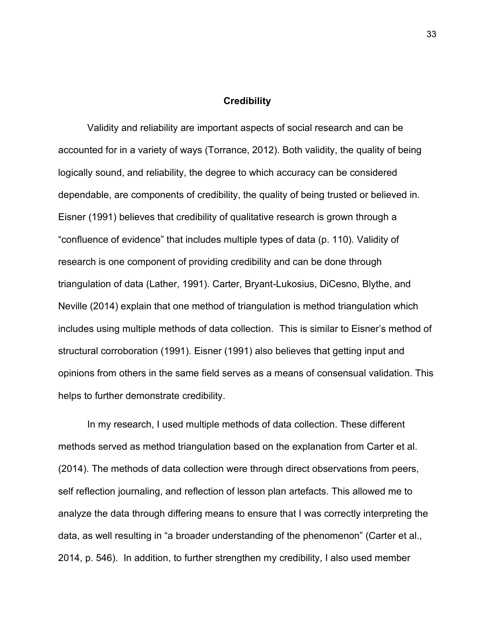#### **Credibility**

Validity and reliability are important aspects of social research and can be accounted for in a variety of ways (Torrance, 2012). Both validity, the quality of being logically sound, and reliability, the degree to which accuracy can be considered dependable, are components of credibility, the quality of being trusted or believed in. Eisner (1991) believes that credibility of qualitative research is grown through a "confluence of evidence" that includes multiple types of data (p. 110). Validity of research is one component of providing credibility and can be done through triangulation of data (Lather, 1991). Carter, Bryant-Lukosius, DiCesno, Blythe, and Neville (2014) explain that one method of triangulation is method triangulation which includes using multiple methods of data collection. This is similar to Eisner's method of structural corroboration (1991). Eisner (1991) also believes that getting input and opinions from others in the same field serves as a means of consensual validation. This helps to further demonstrate credibility.

In my research, I used multiple methods of data collection. These different methods served as method triangulation based on the explanation from Carter et al. (2014). The methods of data collection were through direct observations from peers, self reflection journaling, and reflection of lesson plan artefacts. This allowed me to analyze the data through differing means to ensure that I was correctly interpreting the data, as well resulting in "a broader understanding of the phenomenon" (Carter et al., 2014, p. 546). In addition, to further strengthen my credibility, I also used member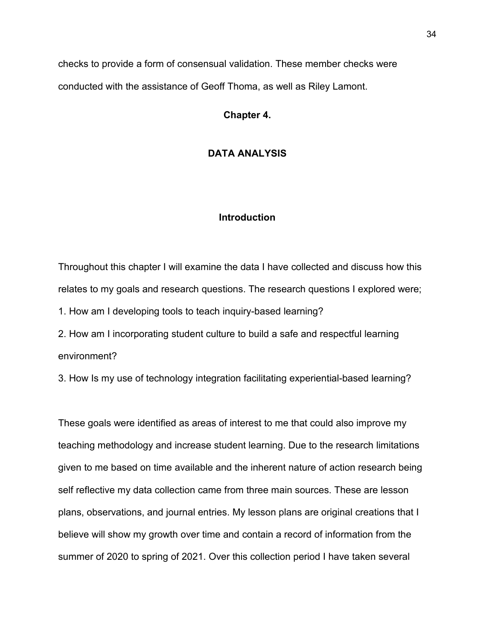checks to provide a form of consensual validation. These member checks were conducted with the assistance of Geoff Thoma, as well as Riley Lamont.

**Chapter 4.** 

# **DATA ANALYSIS**

## **Introduction**

Throughout this chapter I will examine the data I have collected and discuss how this relates to my goals and research questions. The research questions I explored were;

1. How am I developing tools to teach inquiry-based learning?

2. How am I incorporating student culture to build a safe and respectful learning environment?

3. How Is my use of technology integration facilitating experiential-based learning?

These goals were identified as areas of interest to me that could also improve my teaching methodology and increase student learning. Due to the research limitations given to me based on time available and the inherent nature of action research being self reflective my data collection came from three main sources. These are lesson plans, observations, and journal entries. My lesson plans are original creations that I believe will show my growth over time and contain a record of information from the summer of 2020 to spring of 2021. Over this collection period I have taken several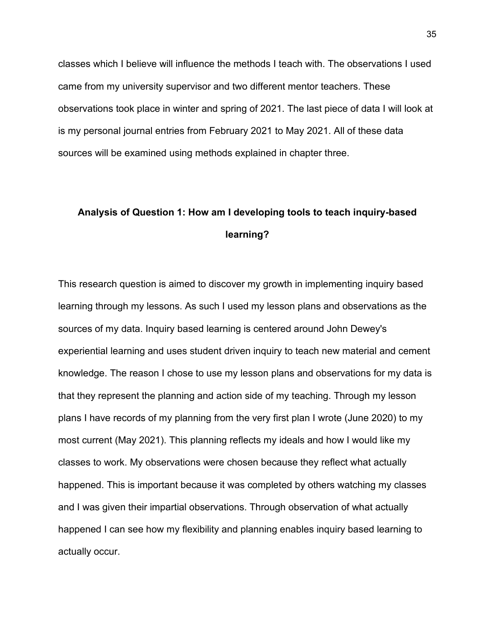classes which I believe will influence the methods I teach with. The observations I used came from my university supervisor and two different mentor teachers. These observations took place in winter and spring of 2021. The last piece of data I will look at is my personal journal entries from February 2021 to May 2021. All of these data sources will be examined using methods explained in chapter three.

# **Analysis of Question 1: How am I developing tools to teach inquiry-based learning?**

This research question is aimed to discover my growth in implementing inquiry based learning through my lessons. As such I used my lesson plans and observations as the sources of my data. Inquiry based learning is centered around John Dewey's experiential learning and uses student driven inquiry to teach new material and cement knowledge. The reason I chose to use my lesson plans and observations for my data is that they represent the planning and action side of my teaching. Through my lesson plans I have records of my planning from the very first plan I wrote (June 2020) to my most current (May 2021). This planning reflects my ideals and how I would like my classes to work. My observations were chosen because they reflect what actually happened. This is important because it was completed by others watching my classes and I was given their impartial observations. Through observation of what actually happened I can see how my flexibility and planning enables inquiry based learning to actually occur.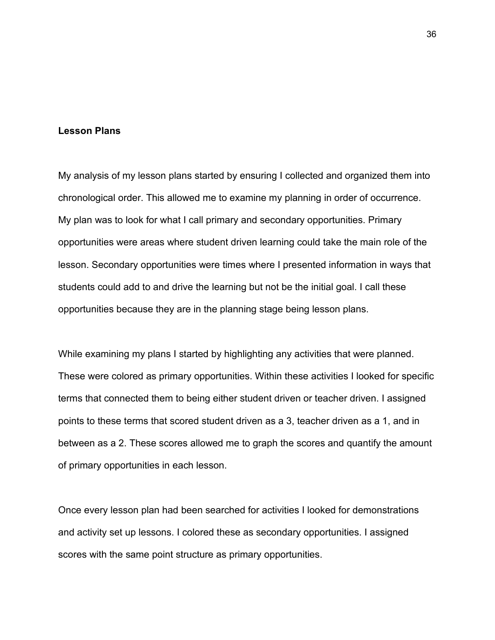### **Lesson Plans**

My analysis of my lesson plans started by ensuring I collected and organized them into chronological order. This allowed me to examine my planning in order of occurrence. My plan was to look for what I call primary and secondary opportunities. Primary opportunities were areas where student driven learning could take the main role of the lesson. Secondary opportunities were times where I presented information in ways that students could add to and drive the learning but not be the initial goal. I call these opportunities because they are in the planning stage being lesson plans.

While examining my plans I started by highlighting any activities that were planned. These were colored as primary opportunities. Within these activities I looked for specific terms that connected them to being either student driven or teacher driven. I assigned points to these terms that scored student driven as a 3, teacher driven as a 1, and in between as a 2. These scores allowed me to graph the scores and quantify the amount of primary opportunities in each lesson.

Once every lesson plan had been searched for activities I looked for demonstrations and activity set up lessons. I colored these as secondary opportunities. I assigned scores with the same point structure as primary opportunities.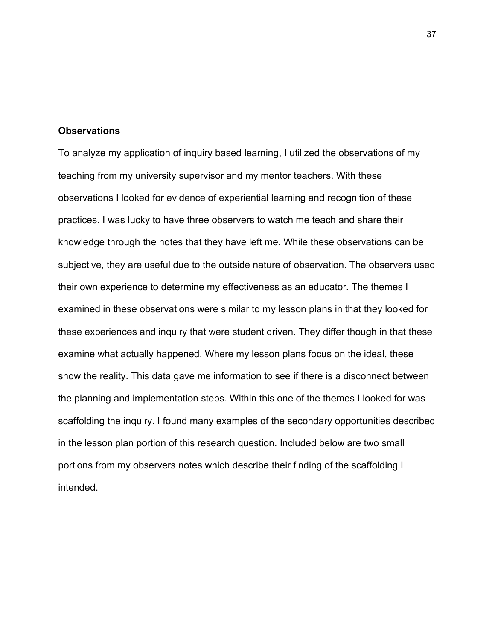### **Observations**

To analyze my application of inquiry based learning, I utilized the observations of my teaching from my university supervisor and my mentor teachers. With these observations I looked for evidence of experiential learning and recognition of these practices. I was lucky to have three observers to watch me teach and share their knowledge through the notes that they have left me. While these observations can be subjective, they are useful due to the outside nature of observation. The observers used their own experience to determine my effectiveness as an educator. The themes I examined in these observations were similar to my lesson plans in that they looked for these experiences and inquiry that were student driven. They differ though in that these examine what actually happened. Where my lesson plans focus on the ideal, these show the reality. This data gave me information to see if there is a disconnect between the planning and implementation steps. Within this one of the themes I looked for was scaffolding the inquiry. I found many examples of the secondary opportunities described in the lesson plan portion of this research question. Included below are two small portions from my observers notes which describe their finding of the scaffolding I intended.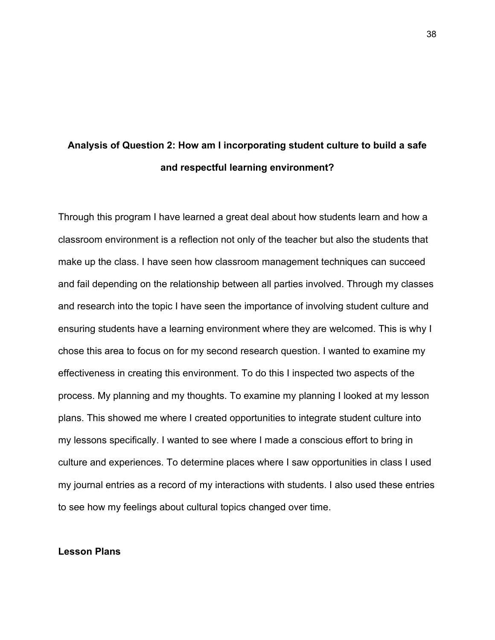# **Analysis of Question 2: How am I incorporating student culture to build a safe and respectful learning environment?**

Through this program I have learned a great deal about how students learn and how a classroom environment is a reflection not only of the teacher but also the students that make up the class. I have seen how classroom management techniques can succeed and fail depending on the relationship between all parties involved. Through my classes and research into the topic I have seen the importance of involving student culture and ensuring students have a learning environment where they are welcomed. This is why I chose this area to focus on for my second research question. I wanted to examine my effectiveness in creating this environment. To do this I inspected two aspects of the process. My planning and my thoughts. To examine my planning I looked at my lesson plans. This showed me where I created opportunities to integrate student culture into my lessons specifically. I wanted to see where I made a conscious effort to bring in culture and experiences. To determine places where I saw opportunities in class I used my journal entries as a record of my interactions with students. I also used these entries to see how my feelings about cultural topics changed over time.

# **Lesson Plans**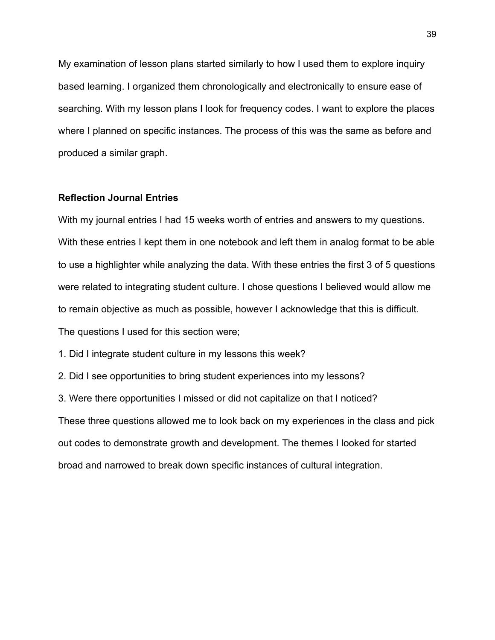My examination of lesson plans started similarly to how I used them to explore inquiry based learning. I organized them chronologically and electronically to ensure ease of searching. With my lesson plans I look for frequency codes. I want to explore the places where I planned on specific instances. The process of this was the same as before and produced a similar graph.

### **Reflection Journal Entries**

With my journal entries I had 15 weeks worth of entries and answers to my questions. With these entries I kept them in one notebook and left them in analog format to be able to use a highlighter while analyzing the data. With these entries the first 3 of 5 questions were related to integrating student culture. I chose questions I believed would allow me to remain objective as much as possible, however I acknowledge that this is difficult. The questions I used for this section were;

1. Did I integrate student culture in my lessons this week?

2. Did I see opportunities to bring student experiences into my lessons?

3. Were there opportunities I missed or did not capitalize on that I noticed?

These three questions allowed me to look back on my experiences in the class and pick out codes to demonstrate growth and development. The themes I looked for started broad and narrowed to break down specific instances of cultural integration.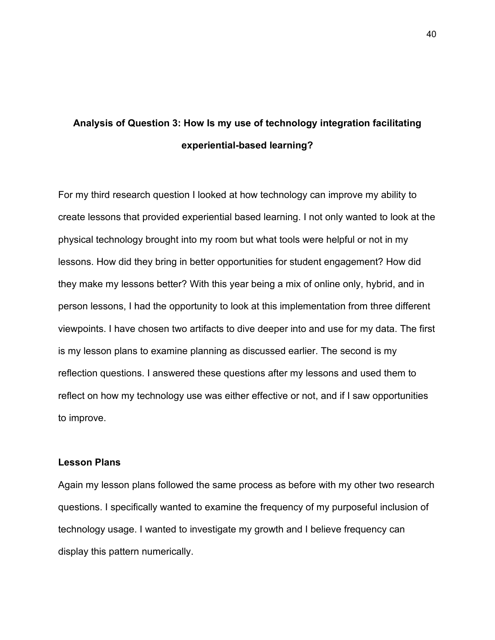# **Analysis of Question 3: How Is my use of technology integration facilitating experiential-based learning?**

For my third research question I looked at how technology can improve my ability to create lessons that provided experiential based learning. I not only wanted to look at the physical technology brought into my room but what tools were helpful or not in my lessons. How did they bring in better opportunities for student engagement? How did they make my lessons better? With this year being a mix of online only, hybrid, and in person lessons, I had the opportunity to look at this implementation from three different viewpoints. I have chosen two artifacts to dive deeper into and use for my data. The first is my lesson plans to examine planning as discussed earlier. The second is my reflection questions. I answered these questions after my lessons and used them to reflect on how my technology use was either effective or not, and if I saw opportunities to improve.

## **Lesson Plans**

Again my lesson plans followed the same process as before with my other two research questions. I specifically wanted to examine the frequency of my purposeful inclusion of technology usage. I wanted to investigate my growth and I believe frequency can display this pattern numerically.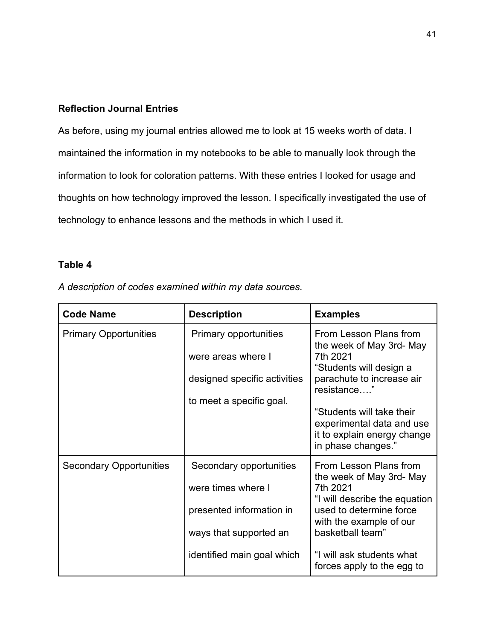# **Reflection Journal Entries**

As before, using my journal entries allowed me to look at 15 weeks worth of data. I maintained the information in my notebooks to be able to manually look through the information to look for coloration patterns. With these entries I looked for usage and thoughts on how technology improved the lesson. I specifically investigated the use of technology to enhance lessons and the methods in which I used it.

# **Table 4**

*A description of codes examined within my data sources.* 

| <b>Code Name</b>               | <b>Description</b>                                                                                             | <b>Examples</b>                                                                                                                                                                                 |
|--------------------------------|----------------------------------------------------------------------------------------------------------------|-------------------------------------------------------------------------------------------------------------------------------------------------------------------------------------------------|
| <b>Primary Opportunities</b>   | <b>Primary opportunities</b><br>were areas where I<br>designed specific activities<br>to meet a specific goal. | From Lesson Plans from<br>the week of May 3rd- May<br>7th 2021<br>"Students will design a<br>parachute to increase air<br>resistance"<br>"Students will take their<br>experimental data and use |
|                                |                                                                                                                | it to explain energy change<br>in phase changes."                                                                                                                                               |
| <b>Secondary Opportunities</b> | Secondary opportunities                                                                                        | From Lesson Plans from<br>the week of May 3rd- May                                                                                                                                              |
|                                | were times where I                                                                                             | 7th 2021<br>"I will describe the equation                                                                                                                                                       |
|                                | presented information in                                                                                       | used to determine force<br>with the example of our                                                                                                                                              |
|                                | ways that supported an                                                                                         | basketball team"                                                                                                                                                                                |
|                                | identified main goal which                                                                                     | "I will ask students what<br>forces apply to the egg to                                                                                                                                         |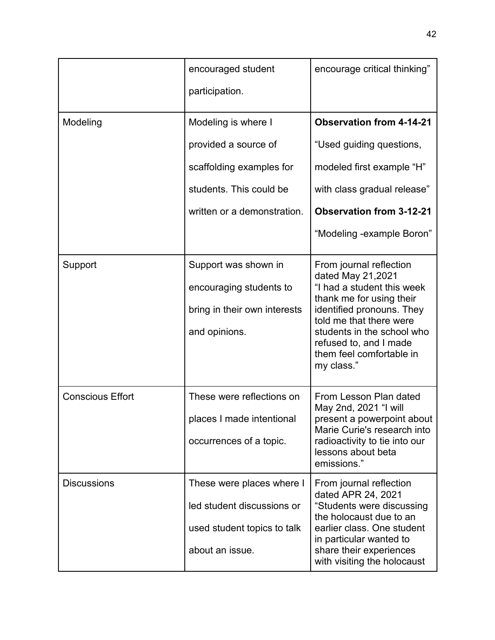|                         | encouraged student           | encourage critical thinking"                                                                      |
|-------------------------|------------------------------|---------------------------------------------------------------------------------------------------|
|                         | participation.               |                                                                                                   |
| Modeling                | Modeling is where I          | <b>Observation from 4-14-21</b>                                                                   |
|                         | provided a source of         | "Used guiding questions,                                                                          |
|                         | scaffolding examples for     | modeled first example "H"                                                                         |
|                         | students. This could be      | with class gradual release"                                                                       |
|                         | written or a demonstration.  | <b>Observation from 3-12-21</b>                                                                   |
|                         |                              | "Modeling -example Boron"                                                                         |
| Support                 | Support was shown in         | From journal reflection<br>dated May 21,2021                                                      |
|                         | encouraging students to      | "I had a student this week<br>thank me for using their                                            |
|                         | bring in their own interests | identified pronouns. They<br>told me that there were                                              |
|                         | and opinions.                | students in the school who<br>refused to, and I made<br>them feel comfortable in<br>my class."    |
| <b>Conscious Effort</b> | These were reflections on    | From Lesson Plan dated                                                                            |
|                         | places I made intentional    | May 2nd, 2021 "I will<br>present a powerpoint about                                               |
|                         | occurrences of a topic.      | Marie Curie's research into<br>radioactivity to tie into our<br>lessons about beta<br>emissions." |
| <b>Discussions</b>      | These were places where I    | From journal reflection<br>dated APR 24, 2021                                                     |
|                         | led student discussions or   | "Students were discussing<br>the holocaust due to an                                              |
|                         | used student topics to talk  | earlier class. One student<br>in particular wanted to                                             |
|                         | about an issue.              | share their experiences<br>with visiting the holocaust                                            |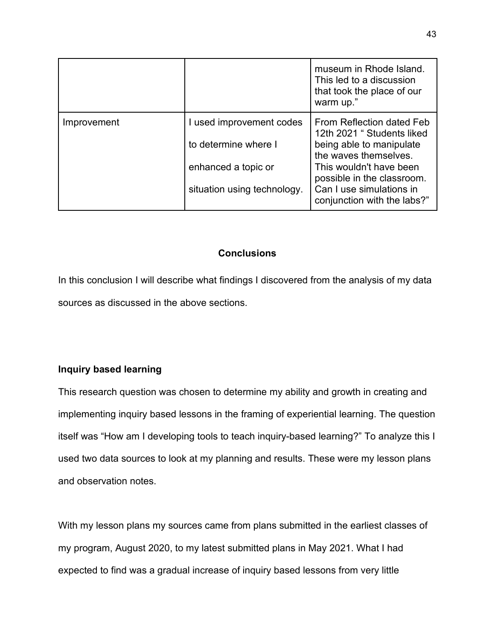|             |                                                                         | museum in Rhode Island.<br>This led to a discussion<br>that took the place of our<br>warm up."                                                                        |
|-------------|-------------------------------------------------------------------------|-----------------------------------------------------------------------------------------------------------------------------------------------------------------------|
| Improvement | I used improvement codes<br>to determine where I<br>enhanced a topic or | From Reflection dated Feb<br>12th 2021 " Students liked<br>being able to manipulate<br>the waves themselves.<br>This wouldn't have been<br>possible in the classroom. |
|             | situation using technology.                                             | Can I use simulations in<br>conjunction with the labs?"                                                                                                               |

# **Conclusions**

In this conclusion I will describe what findings I discovered from the analysis of my data sources as discussed in the above sections.

# **Inquiry based learning**

This research question was chosen to determine my ability and growth in creating and implementing inquiry based lessons in the framing of experiential learning. The question itself was "How am I developing tools to teach inquiry-based learning?" To analyze this I used two data sources to look at my planning and results. These were my lesson plans and observation notes.

With my lesson plans my sources came from plans submitted in the earliest classes of my program, August 2020, to my latest submitted plans in May 2021. What I had expected to find was a gradual increase of inquiry based lessons from very little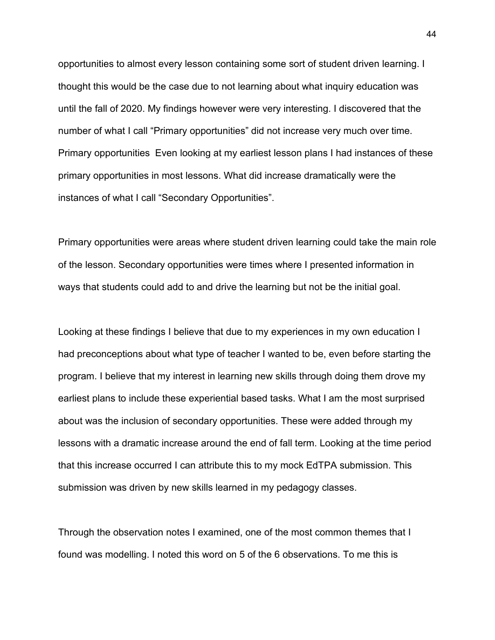opportunities to almost every lesson containing some sort of student driven learning. I thought this would be the case due to not learning about what inquiry education was until the fall of 2020. My findings however were very interesting. I discovered that the number of what I call "Primary opportunities" did not increase very much over time. Primary opportunities Even looking at my earliest lesson plans I had instances of these primary opportunities in most lessons. What did increase dramatically were the instances of what I call "Secondary Opportunities".

Primary opportunities were areas where student driven learning could take the main role of the lesson. Secondary opportunities were times where I presented information in ways that students could add to and drive the learning but not be the initial goal.

Looking at these findings I believe that due to my experiences in my own education I had preconceptions about what type of teacher I wanted to be, even before starting the program. I believe that my interest in learning new skills through doing them drove my earliest plans to include these experiential based tasks. What I am the most surprised about was the inclusion of secondary opportunities. These were added through my lessons with a dramatic increase around the end of fall term. Looking at the time period that this increase occurred I can attribute this to my mock EdTPA submission. This submission was driven by new skills learned in my pedagogy classes.

Through the observation notes I examined, one of the most common themes that I found was modelling. I noted this word on 5 of the 6 observations. To me this is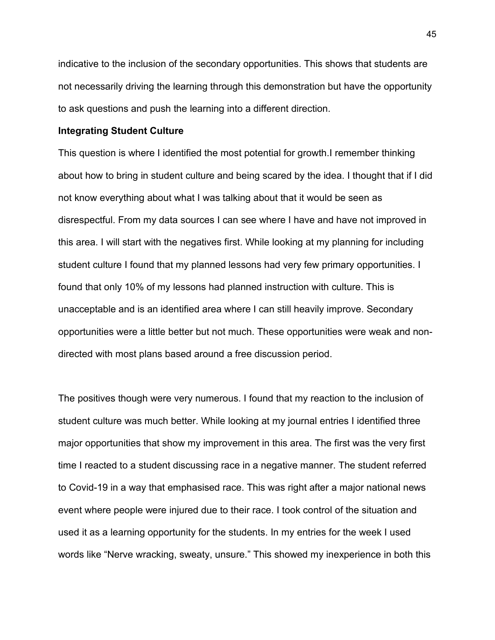indicative to the inclusion of the secondary opportunities. This shows that students are not necessarily driving the learning through this demonstration but have the opportunity to ask questions and push the learning into a different direction.

### **Integrating Student Culture**

This question is where I identified the most potential for growth.I remember thinking about how to bring in student culture and being scared by the idea. I thought that if I did not know everything about what I was talking about that it would be seen as disrespectful. From my data sources I can see where I have and have not improved in this area. I will start with the negatives first. While looking at my planning for including student culture I found that my planned lessons had very few primary opportunities. I found that only 10% of my lessons had planned instruction with culture. This is unacceptable and is an identified area where I can still heavily improve. Secondary opportunities were a little better but not much. These opportunities were weak and nondirected with most plans based around a free discussion period.

The positives though were very numerous. I found that my reaction to the inclusion of student culture was much better. While looking at my journal entries I identified three major opportunities that show my improvement in this area. The first was the very first time I reacted to a student discussing race in a negative manner. The student referred to Covid-19 in a way that emphasised race. This was right after a major national news event where people were injured due to their race. I took control of the situation and used it as a learning opportunity for the students. In my entries for the week I used words like "Nerve wracking, sweaty, unsure." This showed my inexperience in both this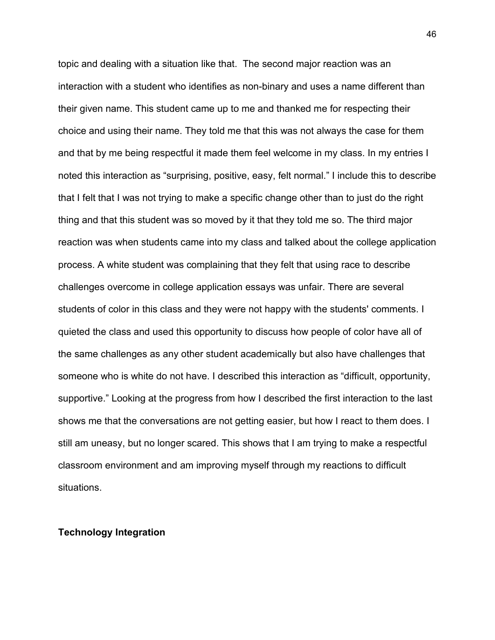topic and dealing with a situation like that. The second major reaction was an interaction with a student who identifies as non-binary and uses a name different than their given name. This student came up to me and thanked me for respecting their choice and using their name. They told me that this was not always the case for them and that by me being respectful it made them feel welcome in my class. In my entries I noted this interaction as "surprising, positive, easy, felt normal." I include this to describe that I felt that I was not trying to make a specific change other than to just do the right thing and that this student was so moved by it that they told me so. The third major reaction was when students came into my class and talked about the college application process. A white student was complaining that they felt that using race to describe challenges overcome in college application essays was unfair. There are several students of color in this class and they were not happy with the students' comments. I quieted the class and used this opportunity to discuss how people of color have all of the same challenges as any other student academically but also have challenges that someone who is white do not have. I described this interaction as "difficult, opportunity, supportive." Looking at the progress from how I described the first interaction to the last shows me that the conversations are not getting easier, but how I react to them does. I still am uneasy, but no longer scared. This shows that I am trying to make a respectful classroom environment and am improving myself through my reactions to difficult situations.

### **Technology Integration**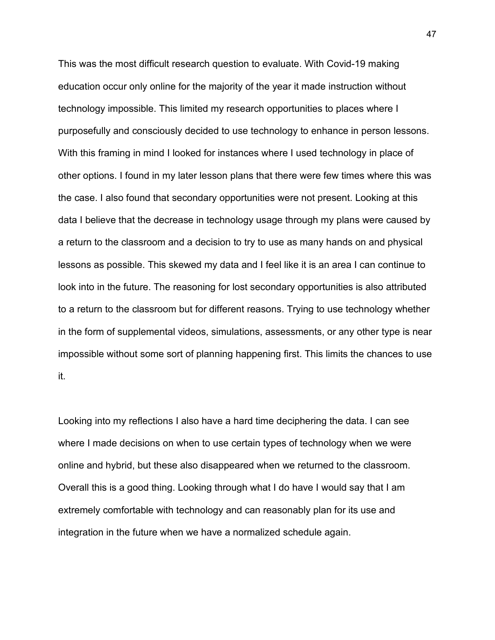This was the most difficult research question to evaluate. With Covid-19 making education occur only online for the majority of the year it made instruction without technology impossible. This limited my research opportunities to places where I purposefully and consciously decided to use technology to enhance in person lessons. With this framing in mind I looked for instances where I used technology in place of other options. I found in my later lesson plans that there were few times where this was the case. I also found that secondary opportunities were not present. Looking at this data I believe that the decrease in technology usage through my plans were caused by a return to the classroom and a decision to try to use as many hands on and physical lessons as possible. This skewed my data and I feel like it is an area I can continue to look into in the future. The reasoning for lost secondary opportunities is also attributed to a return to the classroom but for different reasons. Trying to use technology whether in the form of supplemental videos, simulations, assessments, or any other type is near impossible without some sort of planning happening first. This limits the chances to use it.

Looking into my reflections I also have a hard time deciphering the data. I can see where I made decisions on when to use certain types of technology when we were online and hybrid, but these also disappeared when we returned to the classroom. Overall this is a good thing. Looking through what I do have I would say that I am extremely comfortable with technology and can reasonably plan for its use and integration in the future when we have a normalized schedule again.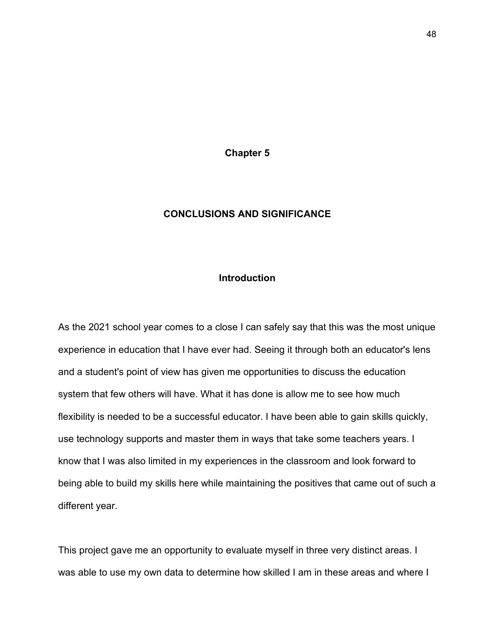**Chapter 5**

# **CONCLUSIONS AND SIGNIFICANCE**

### **Introduction**

As the 2021 school year comes to a close I can safely say that this was the most unique experience in education that I have ever had. Seeing it through both an educator's lens and a student's point of view has given me opportunities to discuss the education system that few others will have. What it has done is allow me to see how much flexibility is needed to be a successful educator. I have been able to gain skills quickly, use technology supports and master them in ways that take some teachers years. I know that I was also limited in my experiences in the classroom and look forward to being able to build my skills here while maintaining the positives that came out of such a different year.

This project gave me an opportunity to evaluate myself in three very distinct areas. I was able to use my own data to determine how skilled I am in these areas and where I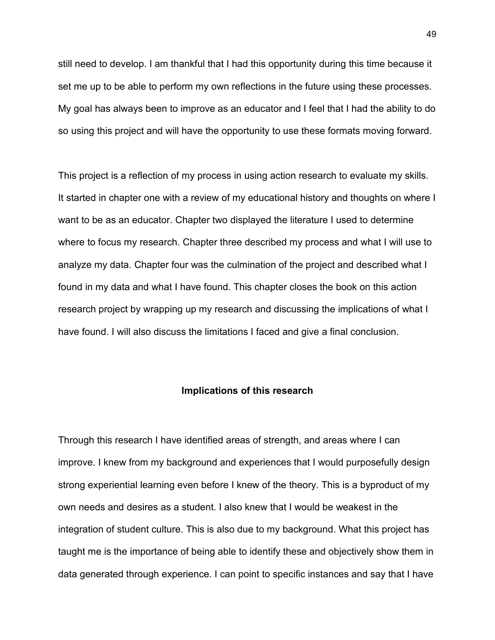still need to develop. I am thankful that I had this opportunity during this time because it set me up to be able to perform my own reflections in the future using these processes. My goal has always been to improve as an educator and I feel that I had the ability to do so using this project and will have the opportunity to use these formats moving forward.

This project is a reflection of my process in using action research to evaluate my skills. It started in chapter one with a review of my educational history and thoughts on where I want to be as an educator. Chapter two displayed the literature I used to determine where to focus my research. Chapter three described my process and what I will use to analyze my data. Chapter four was the culmination of the project and described what I found in my data and what I have found. This chapter closes the book on this action research project by wrapping up my research and discussing the implications of what I have found. I will also discuss the limitations I faced and give a final conclusion.

### **Implications of this research**

Through this research I have identified areas of strength, and areas where I can improve. I knew from my background and experiences that I would purposefully design strong experiential learning even before I knew of the theory. This is a byproduct of my own needs and desires as a student. I also knew that I would be weakest in the integration of student culture. This is also due to my background. What this project has taught me is the importance of being able to identify these and objectively show them in data generated through experience. I can point to specific instances and say that I have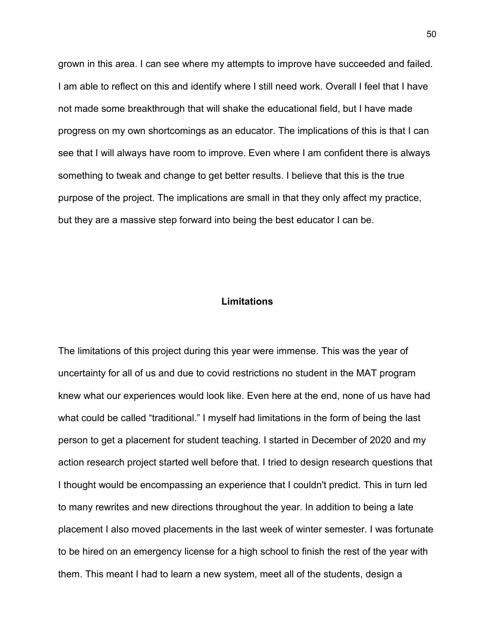grown in this area. I can see where my attempts to improve have succeeded and failed. I am able to reflect on this and identify where I still need work. Overall I feel that I have not made some breakthrough that will shake the educational field, but I have made progress on my own shortcomings as an educator. The implications of this is that I can see that I will always have room to improve. Even where I am confident there is always something to tweak and change to get better results. I believe that this is the true purpose of the project. The implications are small in that they only affect my practice, but they are a massive step forward into being the best educator I can be.

### **Limitations**

The limitations of this project during this year were immense. This was the year of uncertainty for all of us and due to covid restrictions no student in the MAT program knew what our experiences would look like. Even here at the end, none of us have had what could be called "traditional." I myself had limitations in the form of being the last person to get a placement for student teaching. I started in December of 2020 and my action research project started well before that. I tried to design research questions that I thought would be encompassing an experience that I couldn't predict. This in turn led to many rewrites and new directions throughout the year. In addition to being a late placement I also moved placements in the last week of winter semester. I was fortunate to be hired on an emergency license for a high school to finish the rest of the year with them. This meant I had to learn a new system, meet all of the students, design a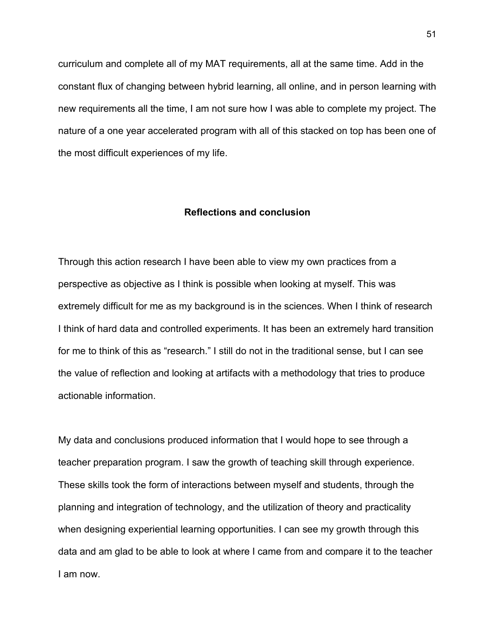curriculum and complete all of my MAT requirements, all at the same time. Add in the constant flux of changing between hybrid learning, all online, and in person learning with new requirements all the time, I am not sure how I was able to complete my project. The nature of a one year accelerated program with all of this stacked on top has been one of the most difficult experiences of my life.

### **Reflections and conclusion**

Through this action research I have been able to view my own practices from a perspective as objective as I think is possible when looking at myself. This was extremely difficult for me as my background is in the sciences. When I think of research I think of hard data and controlled experiments. It has been an extremely hard transition for me to think of this as "research." I still do not in the traditional sense, but I can see the value of reflection and looking at artifacts with a methodology that tries to produce actionable information.

My data and conclusions produced information that I would hope to see through a teacher preparation program. I saw the growth of teaching skill through experience. These skills took the form of interactions between myself and students, through the planning and integration of technology, and the utilization of theory and practicality when designing experiential learning opportunities. I can see my growth through this data and am glad to be able to look at where I came from and compare it to the teacher I am now.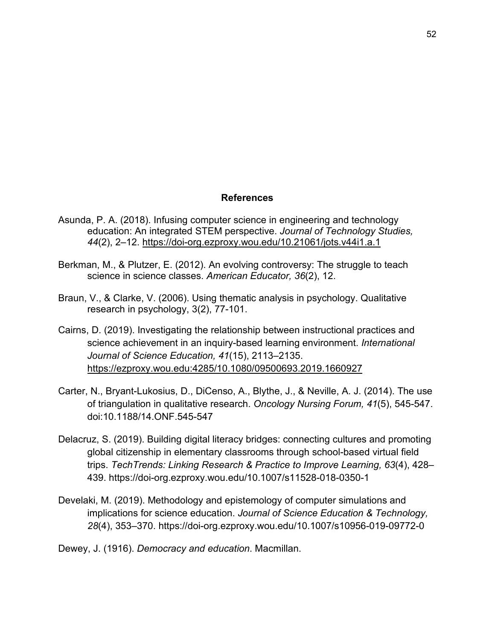## **References**

- Asunda, P. A. (2018). Infusing computer science in engineering and technology education: An integrated STEM perspective. *Journal of Technology Studies, 44*(2), 2–12.<https://doi-org.ezproxy.wou.edu/10.21061/jots.v44i1.a.1>
- Berkman, M., & Plutzer, E. (2012). An evolving controversy: The struggle to teach science in science classes. *American Educator, 36*(2), 12.
- Braun, V., & Clarke, V. (2006). Using thematic analysis in psychology. Qualitative research in psychology, 3(2), 77-101.
- Cairns, D. (2019). Investigating the relationship between instructional practices and science achievement in an inquiry-based learning environment. *International Journal of Science Education, 41*(15), 2113–2135. <https://ezproxy.wou.edu:4285/10.1080/09500693.2019.1660927>
- Carter, N., Bryant-Lukosius, D., DiCenso, A., Blythe, J., & Neville, A. J. (2014). The use of triangulation in qualitative research. *Oncology Nursing Forum, 41*(5), 545-547. doi:10.1188/14.ONF.545-547
- Delacruz, S. (2019). Building digital literacy bridges: connecting cultures and promoting global citizenship in elementary classrooms through school-based virtual field trips. *TechTrends: Linking Research & Practice to Improve Learning, 63*(4), 428– 439. https://doi-org.ezproxy.wou.edu/10.1007/s11528-018-0350-1
- Develaki, M. (2019). Methodology and epistemology of computer simulations and implications for science education. *Journal of Science Education & Technology, 28*(4), 353–370. https://doi-org.ezproxy.wou.edu/10.1007/s10956-019-09772-0
- Dewey, J. (1916). *Democracy and education*. Macmillan.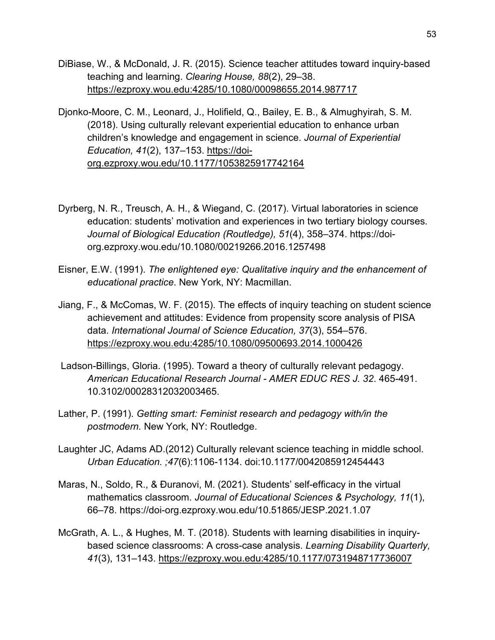- DiBiase, W., & McDonald, J. R. (2015). Science teacher attitudes toward inquiry-based teaching and learning. *Clearing House, 88*(2), 29–38[.](https://ezproxy.wou.edu:4285/10.1080/00098655.2014.987717) <https://ezproxy.wou.edu:4285/10.1080/00098655.2014.987717>
- Djonko-Moore, C. M., Leonard, J., Holifield, Q., Bailey, E. B., & Almughyirah, S. M. (2018). Using culturally relevant experiential education to enhance urban children's knowledge and engagement in science. *Journal of Experiential Education, 41*(2), 137–153. [https://doi](https://doi-org.ezproxy.wou.edu/10.1177/1053825917742164)[org.ezproxy.wou.edu/10.1177/1053825917742164](https://doi-org.ezproxy.wou.edu/10.1177/1053825917742164)
- Dyrberg, N. R., Treusch, A. H., & Wiegand, C. (2017). Virtual laboratories in science education: students' motivation and experiences in two tertiary biology courses. *Journal of Biological Education (Routledge), 51*(4), 358–374. https://doiorg.ezproxy.wou.edu/10.1080/00219266.2016.1257498
- Eisner, E.W. (1991). *The enlightened eye: Qualitative inquiry and the enhancement of educational practice*. New York, NY: Macmillan.
- Jiang, F., & McComas, W. F. (2015). The effects of inquiry teaching on student science achievement and attitudes: Evidence from propensity score analysis of PISA data. *International Journal of Science Education, 37*(3), 554–576[.](https://ezproxy.wou.edu:4285/10.1080/09500693.2014.1000426) <https://ezproxy.wou.edu:4285/10.1080/09500693.2014.1000426>
- Ladson-Billings, Gloria. (1995). Toward a theory of culturally relevant pedagogy. *American Educational Research Journal - AMER EDUC RES J. 32*. 465-491. 10.3102/00028312032003465.
- Lather, P. (1991). *Getting smart: Feminist research and pedagogy with/in the postmodern.* New York, NY: Routledge.
- Laughter JC, Adams AD.(2012) Culturally relevant science teaching in middle school. *Urban Education. ;47*(6):1106-1134. doi:10.1177/0042085912454443
- Maras, N., Soldo, R., & Đuranovi, M. (2021). Students' self-efficacy in the virtual mathematics classroom. *Journal of Educational Sciences & Psychology, 11*(1), 66–78. https://doi-org.ezproxy.wou.edu/10.51865/JESP.2021.1.07
- McGrath, A. L., & Hughes, M. T. (2018). Students with learning disabilities in inquirybased science classrooms: A cross-case analysis. *Learning Disability Quarterly, 41*(3), 131–143.<https://ezproxy.wou.edu:4285/10.1177/0731948717736007>